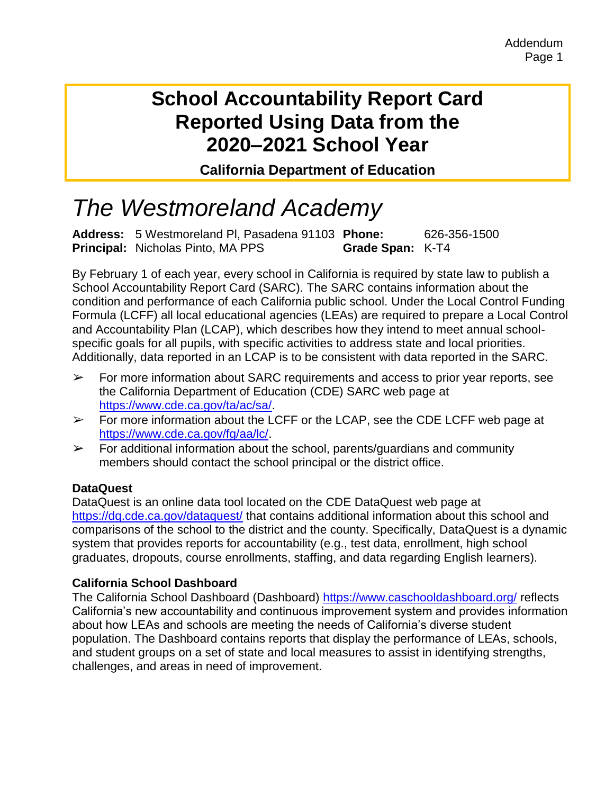# **School Accountability Report Card Reported Using Data from the 2020–2021 School Year**

**California Department of Education**

# *The Westmoreland Academy*

**Address:** 5 Westmoreland Pl, Pasadena 91103 **Phone:** 626-356-1500 **Principal:** Nicholas Pinto, MA PPS **Grade Span:** K-T4

By February 1 of each year, every school in California is required by state law to publish a School Accountability Report Card (SARC). The SARC contains information about the condition and performance of each California public school. Under the Local Control Funding Formula (LCFF) all local educational agencies (LEAs) are required to prepare a Local Control and Accountability Plan (LCAP), which describes how they intend to meet annual schoolspecific goals for all pupils, with specific activities to address state and local priorities. Additionally, data reported in an LCAP is to be consistent with data reported in the SARC.

- $\triangleright$  For more information about SARC requirements and access to prior year reports, see the California Department of Education (CDE) SARC web page at [https://www.cde.ca.gov/ta/ac/sa/.](https://www.cde.ca.gov/ta/ac/sa/)
- $\triangleright$  For more information about the LCFF or the LCAP, see the CDE LCFF web page at [https://www.cde.ca.gov/fg/aa/lc/.](https://www.cde.ca.gov/fg/aa/lc/)
- $\triangleright$  For additional information about the school, parents/guardians and community members should contact the school principal or the district office.

#### **DataQuest**

DataQuest is an online data tool located on the CDE DataQuest web page at <https://dq.cde.ca.gov/dataquest/> that contains additional information about this school and comparisons of the school to the district and the county. Specifically, DataQuest is a dynamic system that provides reports for accountability (e.g., test data, enrollment, high school graduates, dropouts, course enrollments, staffing, and data regarding English learners).

### **California School Dashboard**

The California School Dashboard (Dashboard)<https://www.caschooldashboard.org/> reflects California's new accountability and continuous improvement system and provides information about how LEAs and schools are meeting the needs of California's diverse student population. The Dashboard contains reports that display the performance of LEAs, schools, and student groups on a set of state and local measures to assist in identifying strengths, challenges, and areas in need of improvement.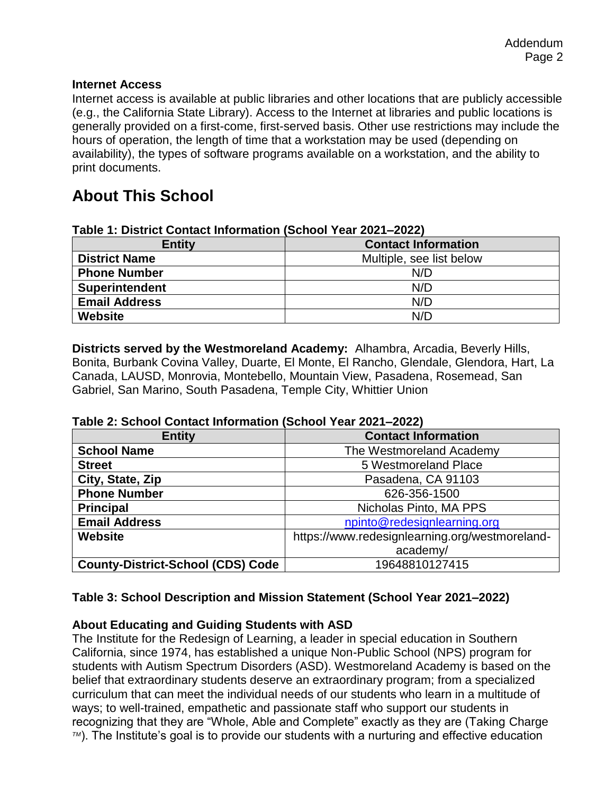#### **Internet Access**

Internet access is available at public libraries and other locations that are publicly accessible (e.g., the California State Library). Access to the Internet at libraries and public locations is generally provided on a first-come, first-served basis. Other use restrictions may include the hours of operation, the length of time that a workstation may be used (depending on availability), the types of software programs available on a workstation, and the ability to print documents.

### **About This School**

| TANIC T. DISTINI OVINGUI MIVIMANUM (OUNUU TGAL ZUZT-ZUZZT |                            |
|-----------------------------------------------------------|----------------------------|
| <b>Entity</b>                                             | <b>Contact Information</b> |
| <b>District Name</b>                                      | Multiple, see list below   |
| <b>Phone Number</b>                                       | N/D                        |
| <b>Superintendent</b>                                     | N/D                        |
| <b>Email Address</b>                                      | N/D                        |
| Website                                                   | N/D                        |

#### **Table 1: District Contact Information (School Year 2021–2022)**

**Districts served by the Westmoreland Academy:** Alhambra, Arcadia, Beverly Hills, Bonita, Burbank Covina Valley, Duarte, El Monte, El Rancho, Glendale, Glendora, Hart, La Canada, LAUSD, Monrovia, Montebello, Mountain View, Pasadena, Rosemead, San Gabriel, San Marino, South Pasadena, Temple City, Whittier Union

| Table 2: School Contact Information (School Year 2021–2022) |                 |  |
|-------------------------------------------------------------|-----------------|--|
| <b>Entity</b>                                               | Contact Informa |  |

| <b>Entity</b>                            | <b>Contact Information</b>                     |  |
|------------------------------------------|------------------------------------------------|--|
| <b>School Name</b>                       | The Westmoreland Academy                       |  |
| <b>Street</b>                            | 5 Westmoreland Place                           |  |
| City, State, Zip                         | Pasadena, CA 91103                             |  |
| <b>Phone Number</b>                      | 626-356-1500                                   |  |
| <b>Principal</b>                         | Nicholas Pinto, MA PPS                         |  |
| <b>Email Address</b>                     | npinto@redesignlearning.org                    |  |
| Website                                  | https://www.redesignlearning.org/westmoreland- |  |
|                                          | academy/                                       |  |
| <b>County-District-School (CDS) Code</b> | 19648810127415                                 |  |

#### **Table 3: School Description and Mission Statement (School Year 2021–2022)**

#### **About Educating and Guiding Students with ASD**

The Institute for the Redesign of Learning, a leader in special education in Southern California, since 1974, has established a unique Non-Public School (NPS) program for students with Autism Spectrum Disorders (ASD). Westmoreland Academy is based on the belief that extraordinary students deserve an extraordinary program; from a specialized curriculum that can meet the individual needs of our students who learn in a multitude of ways; to well-trained, empathetic and passionate staff who support our students in recognizing that they are "Whole, Able and Complete" exactly as they are (Taking Charge *TM*). The Institute's goal is to provide our students with a nurturing and effective education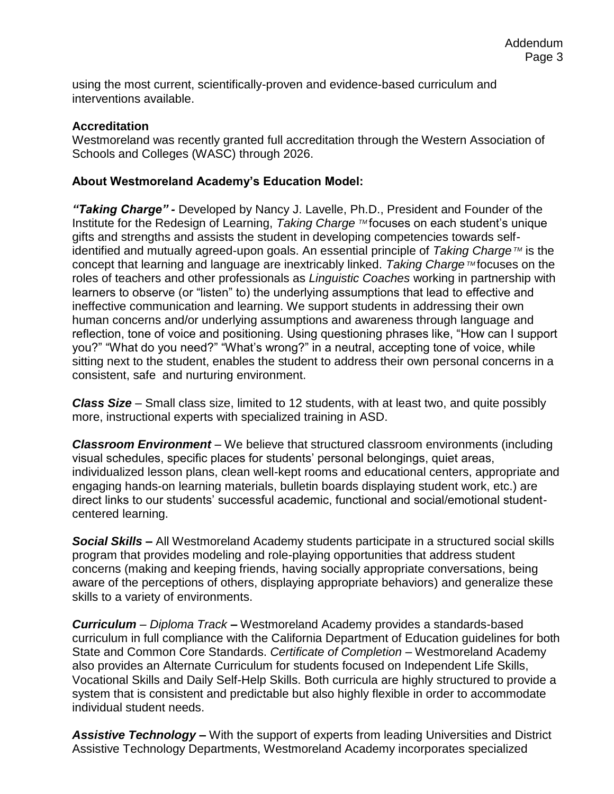using the most current, scientifically-proven and evidence-based curriculum and interventions available.

#### **Accreditation**

Westmoreland was recently granted full accreditation through the Western Association of Schools and Colleges (WASC) through 2026.

#### **About Westmoreland Academy's Education Model:**

*"Taking Charge" -* Developed by Nancy J. Lavelle, Ph.D., President and Founder of the Institute for the Redesign of Learning, *Taking Charge* ™focuses on each student's unique gifts and strengths and assists the student in developing competencies towards selfidentified and mutually agreed-upon goals. An essential principle of *Taking Charge TM* is the concept that learning and language are inextricably linked. *Taking Charge™* focuses on the roles of teachers and other professionals as *Linguistic Coaches* working in partnership with learners to observe (or "listen" to) the underlying assumptions that lead to effective and ineffective communication and learning. We support students in addressing their own human concerns and/or underlying assumptions and awareness through language and reflection, tone of voice and positioning. Using questioning phrases like, "How can I support you?" "What do you need?" "What's wrong?" in a neutral, accepting tone of voice, while sitting next to the student, enables the student to address their own personal concerns in a consistent, safe and nurturing environment.

*Class Size –* Small class size, limited to 12 students, with at least two, and quite possibly more, instructional experts with specialized training in ASD.

*Classroom Environment* – We believe that structured classroom environments (including visual schedules, specific places for students' personal belongings, quiet areas, individualized lesson plans, clean well-kept rooms and educational centers, appropriate and engaging hands-on learning materials, bulletin boards displaying student work, etc.) are direct links to our students' successful academic, functional and social/emotional studentcentered learning.

*Social Skills –* All Westmoreland Academy students participate in a structured social skills program that provides modeling and role-playing opportunities that address student concerns (making and keeping friends, having socially appropriate conversations, being aware of the perceptions of others, displaying appropriate behaviors) and generalize these skills to a variety of environments.

*Curriculum* – *Diploma Track* **–** Westmoreland Academy provides a standards-based curriculum in full compliance with the California Department of Education guidelines for both State and Common Core Standards. *Certificate of Completion –* Westmoreland Academy also provides an Alternate Curriculum for students focused on Independent Life Skills, Vocational Skills and Daily Self-Help Skills. Both curricula are highly structured to provide a system that is consistent and predictable but also highly flexible in order to accommodate individual student needs.

*Assistive Technology –* With the support of experts from leading Universities and District Assistive Technology Departments, Westmoreland Academy incorporates specialized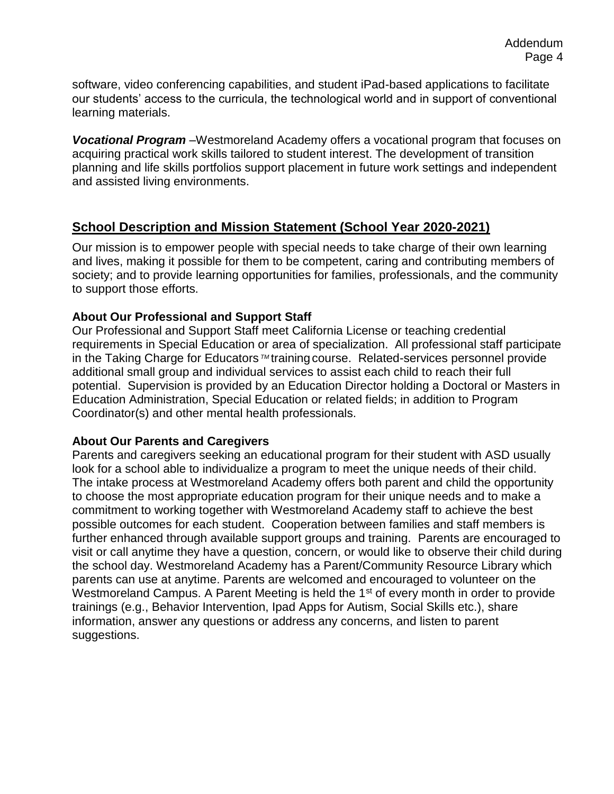software, video conferencing capabilities, and student iPad-based applications to facilitate our students' access to the curricula, the technological world and in support of conventional learning materials.

*Vocational Program* –Westmoreland Academy offers a vocational program that focuses on acquiring practical work skills tailored to student interest. The development of transition planning and life skills portfolios support placement in future work settings and independent and assisted living environments.

### **School Description and Mission Statement (School Year 2020-2021)**

Our mission is to empower people with special needs to take charge of their own learning and lives, making it possible for them to be competent, caring and contributing members of society; and to provide learning opportunities for families, professionals, and the community to support those efforts.

#### **About Our Professional and Support Staff**

Our Professional and Support Staff meet California License or teaching credential requirements in Special Education or area of specialization. All professional staff participate in the Taking Charge for Educators<sup>™</sup> training course. Related-services personnel provide additional small group and individual services to assist each child to reach their full potential. Supervision is provided by an Education Director holding a Doctoral or Masters in Education Administration, Special Education or related fields; in addition to Program Coordinator(s) and other mental health professionals.

#### **About Our Parents and Caregivers**

Parents and caregivers seeking an educational program for their student with ASD usually look for a school able to individualize a program to meet the unique needs of their child. The intake process at Westmoreland Academy offers both parent and child the opportunity to choose the most appropriate education program for their unique needs and to make a commitment to working together with Westmoreland Academy staff to achieve the best possible outcomes for each student. Cooperation between families and staff members is further enhanced through available support groups and training. Parents are encouraged to visit or call anytime they have a question, concern, or would like to observe their child during the school day. Westmoreland Academy has a Parent/Community Resource Library which parents can use at anytime. Parents are welcomed and encouraged to volunteer on the Westmoreland Campus. A Parent Meeting is held the 1<sup>st</sup> of every month in order to provide trainings (e.g., Behavior Intervention, Ipad Apps for Autism, Social Skills etc.), share information, answer any questions or address any concerns, and listen to parent suggestions.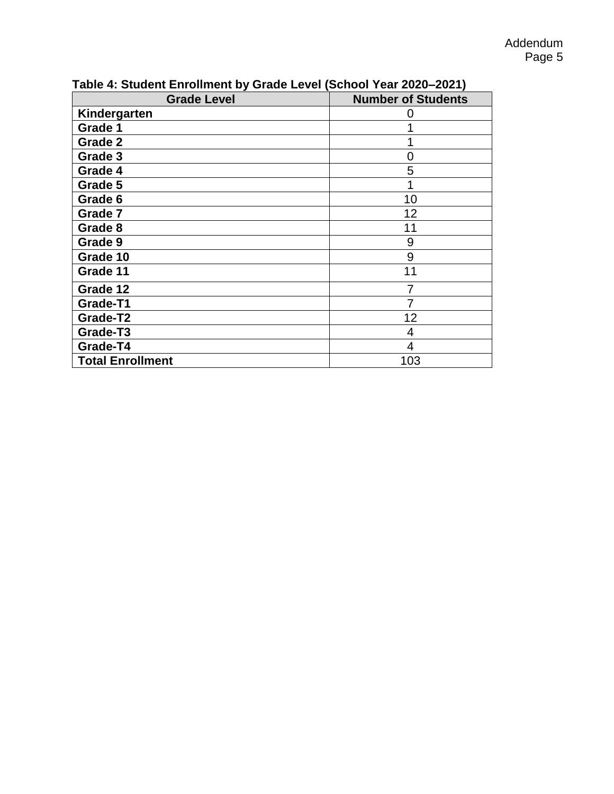| $\sim$<br><b>Grade Level</b> | <b>Number of Students</b> |
|------------------------------|---------------------------|
| Kindergarten                 |                           |
| Grade 1                      |                           |
| Grade 2                      |                           |
| Grade 3                      | 0                         |
| Grade 4                      | 5                         |
| Grade 5                      |                           |
| Grade 6                      | 10                        |
| Grade 7                      | 12                        |
| Grade 8                      | 11                        |
| Grade 9                      | 9                         |
| Grade 10                     | 9                         |
| Grade 11                     | 11                        |
| Grade 12                     |                           |
| Grade-T1                     | 7                         |
| Grade-T2                     | 12                        |
| Grade-T3                     | 4                         |
| Grade-T4                     | 4                         |
| <b>Total Enrollment</b>      | 103                       |

**Table 4: Student Enrollment by Grade Level (School Year 2020–2021)**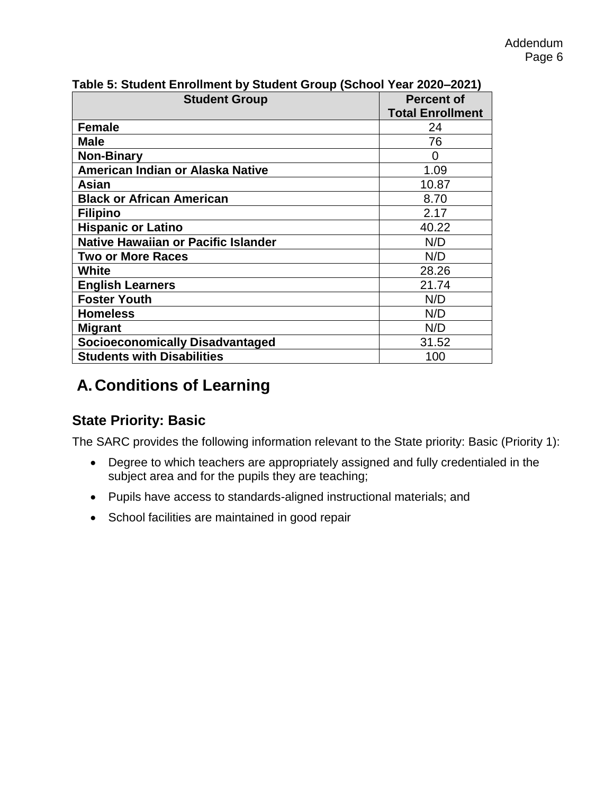| <b>Student Group</b>                       | <b>Percent of</b><br><b>Total Enrollment</b> |
|--------------------------------------------|----------------------------------------------|
| <b>Female</b>                              | 24                                           |
| <b>Male</b>                                | 76                                           |
| <b>Non-Binary</b>                          | 0                                            |
| American Indian or Alaska Native           | 1.09                                         |
| Asian                                      | 10.87                                        |
| <b>Black or African American</b>           | 8.70                                         |
| <b>Filipino</b>                            | 2.17                                         |
| <b>Hispanic or Latino</b>                  | 40.22                                        |
| <b>Native Hawaiian or Pacific Islander</b> | N/D                                          |
| <b>Two or More Races</b>                   | N/D                                          |
| White                                      | 28.26                                        |
| <b>English Learners</b>                    | 21.74                                        |
| <b>Foster Youth</b>                        | N/D                                          |
| <b>Homeless</b>                            | N/D                                          |
| <b>Migrant</b>                             | N/D                                          |
| <b>Socioeconomically Disadvantaged</b>     | 31.52                                        |
| <b>Students with Disabilities</b>          | 100                                          |

### **Table 5: Student Enrollment by Student Group (School Year 2020–2021)**

## **A.Conditions of Learning**

### **State Priority: Basic**

The SARC provides the following information relevant to the State priority: Basic (Priority 1):

- Degree to which teachers are appropriately assigned and fully credentialed in the subject area and for the pupils they are teaching;
- Pupils have access to standards-aligned instructional materials; and
- School facilities are maintained in good repair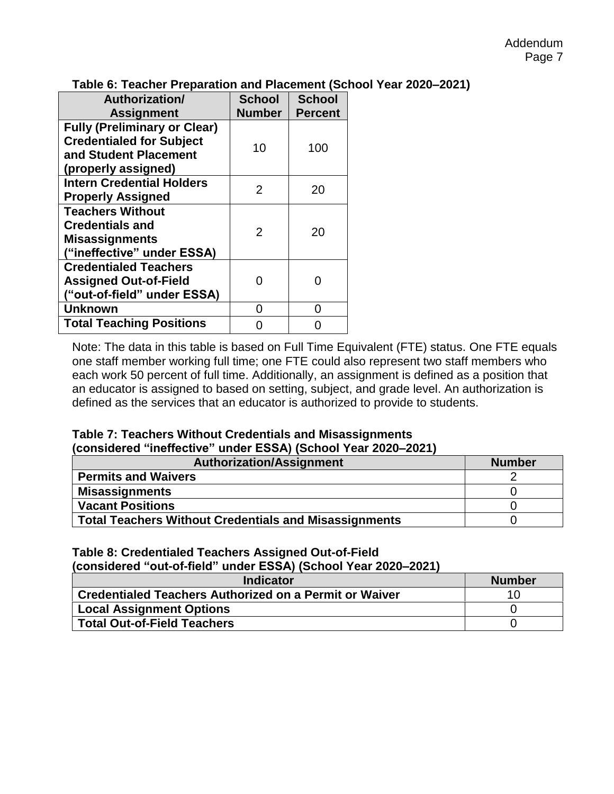| Table 6: Teacher Preparation and Placement (School Year 2020–2021) |  |  |
|--------------------------------------------------------------------|--|--|
|                                                                    |  |  |

| Authorization/<br><b>Assignment</b>                                                                                    | <b>School</b><br><b>Number</b> | <b>School</b><br><b>Percent</b> |
|------------------------------------------------------------------------------------------------------------------------|--------------------------------|---------------------------------|
| <b>Fully (Preliminary or Clear)</b><br><b>Credentialed for Subject</b><br>and Student Placement<br>(properly assigned) | 10                             | 100                             |
| <b>Intern Credential Holders</b><br><b>Properly Assigned</b>                                                           | 2                              | 20                              |
| <b>Teachers Without</b><br><b>Credentials and</b><br><b>Misassignments</b><br>("ineffective" under ESSA)               | $\mathcal{P}$                  | 20                              |
| <b>Credentialed Teachers</b><br><b>Assigned Out-of-Field</b><br>("out-of-field" under ESSA)                            |                                | n                               |
| <b>Unknown</b>                                                                                                         |                                | ( )                             |
| <b>Total Teaching Positions</b>                                                                                        |                                |                                 |

Note: The data in this table is based on Full Time Equivalent (FTE) status. One FTE equals one staff member working full time; one FTE could also represent two staff members who each work 50 percent of full time. Additionally, an assignment is defined as a position that an educator is assigned to based on setting, subject, and grade level. An authorization is defined as the services that an educator is authorized to provide to students.

#### **Table 7: Teachers Without Credentials and Misassignments (considered "ineffective" under ESSA) (School Year 2020–2021)**

| <b>Authorization/Assignment</b>                              | <b>Number</b> |
|--------------------------------------------------------------|---------------|
| <b>Permits and Waivers</b>                                   |               |
| <b>Misassignments</b>                                        |               |
| <b>Vacant Positions</b>                                      |               |
| <b>Total Teachers Without Credentials and Misassignments</b> |               |

#### **Table 8: Credentialed Teachers Assigned Out-of-Field**

**(considered "out-of-field" under ESSA) (School Year 2020–2021)**

| <b>Indicator</b>                                              | <b>Number</b> |
|---------------------------------------------------------------|---------------|
| <b>Credentialed Teachers Authorized on a Permit or Waiver</b> | 1 ( ) –       |
| <b>Local Assignment Options</b>                               |               |
| <b>Total Out-of-Field Teachers</b>                            |               |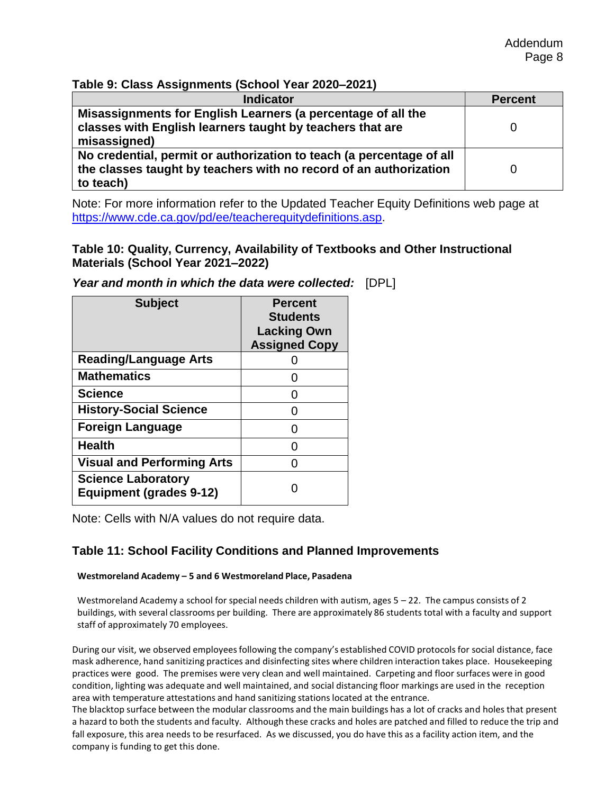#### **Table 9: Class Assignments (School Year 2020–2021)**

| <b>Indicator</b>                                                                                                                                       | <b>Percent</b> |
|--------------------------------------------------------------------------------------------------------------------------------------------------------|----------------|
| Misassignments for English Learners (a percentage of all the<br>classes with English learners taught by teachers that are<br>misassigned)              |                |
| No credential, permit or authorization to teach (a percentage of all<br>the classes taught by teachers with no record of an authorization<br>to teach) |                |

Note: For more information refer to the Updated Teacher Equity Definitions web page at [https://www.cde.ca.gov/pd/ee/teacherequitydefinitions.asp.](https://www.cde.ca.gov/pd/ee/teacherequitydefinitions.asp)

#### **Table 10: Quality, Currency, Availability of Textbooks and Other Instructional Materials (School Year 2021–2022)**

| <b>Subject</b>                                              | <b>Percent</b><br><b>Students</b><br><b>Lacking Own</b><br><b>Assigned Copy</b> |
|-------------------------------------------------------------|---------------------------------------------------------------------------------|
| <b>Reading/Language Arts</b>                                |                                                                                 |
| <b>Mathematics</b>                                          |                                                                                 |
| <b>Science</b>                                              |                                                                                 |
| <b>History-Social Science</b>                               |                                                                                 |
| <b>Foreign Language</b>                                     |                                                                                 |
| <b>Health</b>                                               |                                                                                 |
| <b>Visual and Performing Arts</b>                           |                                                                                 |
| <b>Science Laboratory</b><br><b>Equipment (grades 9-12)</b> |                                                                                 |

*Year and month in which the data were collected:* [DPL]

Note: Cells with N/A values do not require data.

#### **Table 11: School Facility Conditions and Planned Improvements**

#### **Westmoreland Academy – 5 and 6 Westmoreland Place, Pasadena**

Westmoreland Academy a school for special needs children with autism, ages 5 – 22. The campus consists of 2 buildings, with several classrooms per building. There are approximately 86 students total with a faculty and support staff of approximately 70 employees.

During our visit, we observed employees following the company's established COVID protocols for social distance, face mask adherence, hand sanitizing practices and disinfecting sites where children interaction takes place. Housekeeping practices were good. The premises were very clean and well maintained. Carpeting and floor surfaces were in good condition, lighting was adequate and well maintained, and social distancing floor markings are used in the reception area with temperature attestations and hand sanitizing stations located at the entrance.

The blacktop surface between the modular classrooms and the main buildings has a lot of cracks and holes that present a hazard to both the students and faculty. Although these cracks and holes are patched and filled to reduce the trip and fall exposure, this area needs to be resurfaced. As we discussed, you do have this as a facility action item, and the company is funding to get this done.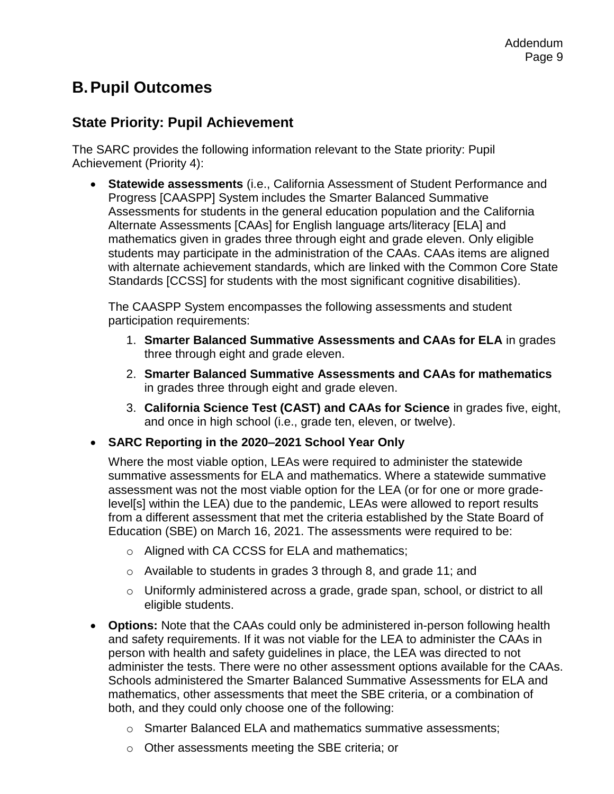### **B.Pupil Outcomes**

### **State Priority: Pupil Achievement**

The SARC provides the following information relevant to the State priority: Pupil Achievement (Priority 4):

• **Statewide assessments** (i.e., California Assessment of Student Performance and Progress [CAASPP] System includes the Smarter Balanced Summative Assessments for students in the general education population and the California Alternate Assessments [CAAs] for English language arts/literacy [ELA] and mathematics given in grades three through eight and grade eleven. Only eligible students may participate in the administration of the CAAs. CAAs items are aligned with alternate achievement standards, which are linked with the Common Core State Standards [CCSS] for students with the most significant cognitive disabilities).

The CAASPP System encompasses the following assessments and student participation requirements:

- 1. **Smarter Balanced Summative Assessments and CAAs for ELA** in grades three through eight and grade eleven.
- 2. **Smarter Balanced Summative Assessments and CAAs for mathematics**  in grades three through eight and grade eleven.
- 3. **California Science Test (CAST) and CAAs for Science** in grades five, eight, and once in high school (i.e., grade ten, eleven, or twelve).
- **SARC Reporting in the 2020–2021 School Year Only**

Where the most viable option, LEAs were required to administer the statewide summative assessments for ELA and mathematics. Where a statewide summative assessment was not the most viable option for the LEA (or for one or more gradelevel[s] within the LEA) due to the pandemic, LEAs were allowed to report results from a different assessment that met the criteria established by the State Board of Education (SBE) on March 16, 2021. The assessments were required to be:

- o Aligned with CA CCSS for ELA and mathematics;
- o Available to students in grades 3 through 8, and grade 11; and
- $\circ$  Uniformly administered across a grade, grade span, school, or district to all eligible students.
- **Options:** Note that the CAAs could only be administered in-person following health and safety requirements. If it was not viable for the LEA to administer the CAAs in person with health and safety guidelines in place, the LEA was directed to not administer the tests. There were no other assessment options available for the CAAs. Schools administered the Smarter Balanced Summative Assessments for ELA and mathematics, other assessments that meet the SBE criteria, or a combination of both, and they could only choose one of the following:
	- o Smarter Balanced ELA and mathematics summative assessments;
	- o Other assessments meeting the SBE criteria; or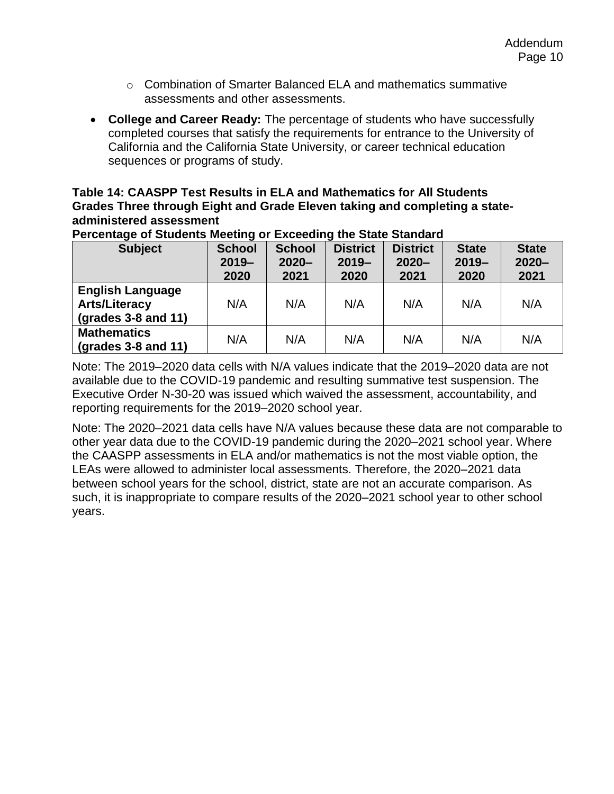- $\circ$  Combination of Smarter Balanced FLA and mathematics summative assessments and other assessments.
- **College and Career Ready:** The percentage of students who have successfully completed courses that satisfy the requirements for entrance to the University of California and the California State University, or career technical education sequences or programs of study.

#### **Table 14: CAASPP Test Results in ELA and Mathematics for All Students Grades Three through Eight and Grade Eleven taking and completing a stateadministered assessment**

| <b>Subject</b>                                                                 | <b>School</b><br>$2019 -$<br>2020 | <b>School</b><br>$2020 -$<br>2021 | <b>District</b><br>$2019 -$<br>2020 | <b>District</b><br>$2020 -$<br>2021 | <b>State</b><br>$2019 -$<br>2020 | <b>State</b><br>$2020 -$<br>2021 |
|--------------------------------------------------------------------------------|-----------------------------------|-----------------------------------|-------------------------------------|-------------------------------------|----------------------------------|----------------------------------|
| <b>English Language</b><br><b>Arts/Literacy</b><br>$\left($ grades 3-8 and 11) | N/A                               | N/A                               | N/A                                 | N/A                                 | N/A                              | N/A                              |
| <b>Mathematics</b><br>$\left($ grades 3-8 and 11)                              | N/A                               | N/A                               | N/A                                 | N/A                                 | N/A                              | N/A                              |

**Percentage of Students Meeting or Exceeding the State Standard**

Note: The 2019–2020 data cells with N/A values indicate that the 2019–2020 data are not available due to the COVID-19 pandemic and resulting summative test suspension. The Executive Order N-30-20 was issued which waived the assessment, accountability, and reporting requirements for the 2019–2020 school year.

Note: The 2020–2021 data cells have N/A values because these data are not comparable to other year data due to the COVID-19 pandemic during the 2020–2021 school year. Where the CAASPP assessments in ELA and/or mathematics is not the most viable option, the LEAs were allowed to administer local assessments. Therefore, the 2020–2021 data between school years for the school, district, state are not an accurate comparison. As such, it is inappropriate to compare results of the 2020–2021 school year to other school years.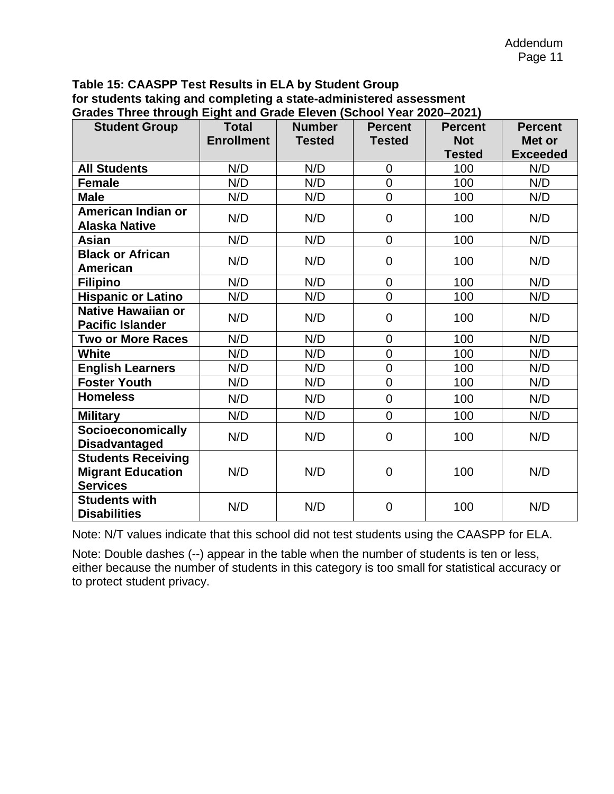#### **Table 15: CAASPP Test Results in ELA by Student Group for students taking and completing a state-administered assessment Grades Three through Eight and Grade Eleven (School Year 2020–2021)**

| 01aaco 1111cc (1110agu Light and Oradc Licven (Ochoor Tear Zozo-Zozi)<br><b>Student Group</b> | <b>Total</b>      | <b>Number</b> | <b>Percent</b> | <b>Percent</b> | <b>Percent</b>  |
|-----------------------------------------------------------------------------------------------|-------------------|---------------|----------------|----------------|-----------------|
|                                                                                               | <b>Enrollment</b> | <b>Tested</b> | <b>Tested</b>  | <b>Not</b>     | Met or          |
|                                                                                               |                   |               |                | <b>Tested</b>  | <b>Exceeded</b> |
| <b>All Students</b>                                                                           | N/D               | N/D           | $\overline{0}$ | 100            | N/D             |
| <b>Female</b>                                                                                 | N/D               | N/D           | $\overline{0}$ | 100            | N/D             |
| <b>Male</b>                                                                                   | N/D               | N/D           | $\overline{0}$ | 100            | N/D             |
| American Indian or                                                                            | N/D               | N/D           | $\overline{0}$ | 100            | N/D             |
| <b>Alaska Native</b>                                                                          |                   |               |                |                |                 |
| Asian                                                                                         | N/D               | N/D           | $\overline{0}$ | 100            | N/D             |
| <b>Black or African</b>                                                                       | N/D               | N/D           | $\overline{0}$ | 100            | N/D             |
| <b>American</b>                                                                               |                   |               |                |                |                 |
| <b>Filipino</b>                                                                               | N/D               | N/D           | $\overline{0}$ | 100            | N/D             |
| <b>Hispanic or Latino</b>                                                                     | N/D               | N/D           | $\overline{0}$ | 100            | N/D             |
| Native Hawaiian or<br><b>Pacific Islander</b>                                                 | N/D               | N/D           | $\mathbf 0$    | 100            | N/D             |
| <b>Two or More Races</b>                                                                      | N/D               | N/D           | $\mathbf 0$    | 100            | N/D             |
| <b>White</b>                                                                                  | N/D               | N/D           | $\overline{0}$ | 100            | N/D             |
| <b>English Learners</b>                                                                       | N/D               | N/D           | $\overline{0}$ | 100            | N/D             |
| <b>Foster Youth</b>                                                                           | N/D               | N/D           | $\overline{0}$ | 100            | N/D             |
| <b>Homeless</b>                                                                               | N/D               | N/D           | $\mathbf 0$    | 100            | N/D             |
| <b>Military</b>                                                                               | N/D               | N/D           | $\overline{0}$ | 100            | N/D             |
| <b>Socioeconomically</b><br><b>Disadvantaged</b>                                              | N/D               | N/D           | $\overline{0}$ | 100            | N/D             |
| <b>Students Receiving</b><br><b>Migrant Education</b><br><b>Services</b>                      | N/D               | N/D           | $\mathbf 0$    | 100            | N/D             |
| <b>Students with</b><br><b>Disabilities</b>                                                   | N/D               | N/D           | $\overline{0}$ | 100            | N/D             |

Note: N/T values indicate that this school did not test students using the CAASPP for ELA.

Note: Double dashes (--) appear in the table when the number of students is ten or less, either because the number of students in this category is too small for statistical accuracy or to protect student privacy.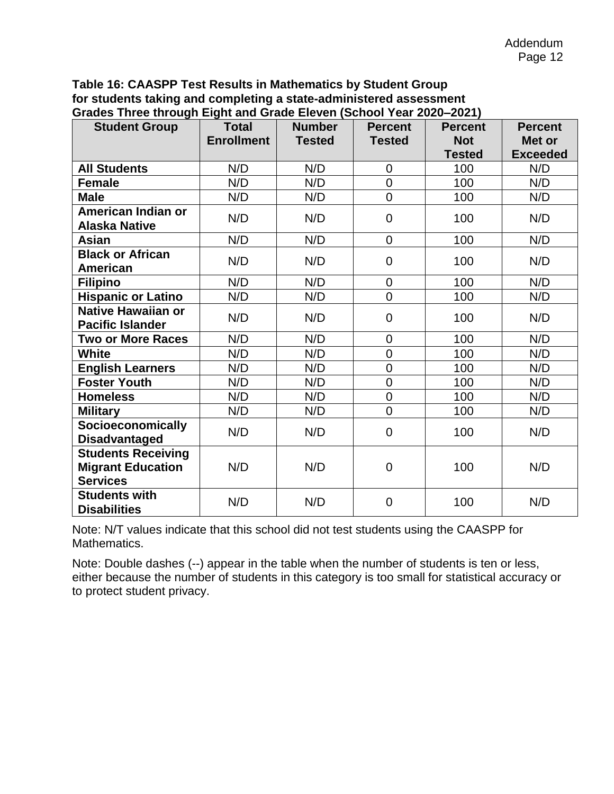#### **Table 16: CAASPP Test Results in Mathematics by Student Group for students taking and completing a state-administered assessment Grades Three through Eight and Grade Eleven (School Year 2020–2021)**

| Oraucs Three through Light and Orauc Lieven (OchOOF Fear ZUZU-ZUZT)<br><b>Student Group</b> | <b>Total</b>      | <b>Number</b> | <b>Percent</b> | <b>Percent</b> | <b>Percent</b>  |
|---------------------------------------------------------------------------------------------|-------------------|---------------|----------------|----------------|-----------------|
|                                                                                             | <b>Enrollment</b> | <b>Tested</b> | <b>Tested</b>  | <b>Not</b>     | Met or          |
|                                                                                             |                   |               |                | <b>Tested</b>  | <b>Exceeded</b> |
| <b>All Students</b>                                                                         | N/D               | N/D           | $\mathbf 0$    | 100            | N/D             |
| <b>Female</b>                                                                               | N/D               | N/D           | $\overline{0}$ | 100            | N/D             |
| <b>Male</b>                                                                                 | N/D               | N/D           | $\overline{0}$ | 100            | N/D             |
| American Indian or<br><b>Alaska Native</b>                                                  | N/D               | N/D           | $\mathbf 0$    | 100            | N/D             |
| Asian                                                                                       | N/D               | N/D           | $\mathbf 0$    | 100            | N/D             |
| <b>Black or African</b><br>American                                                         | N/D               | N/D           | $\mathbf 0$    | 100            | N/D             |
| <b>Filipino</b>                                                                             | N/D               | N/D           | $\mathbf 0$    | 100            | N/D             |
| <b>Hispanic or Latino</b>                                                                   | N/D               | N/D           | $\overline{0}$ | 100            | N/D             |
| Native Hawaiian or<br><b>Pacific Islander</b>                                               | N/D               | N/D           | $\mathbf 0$    | 100            | N/D             |
| <b>Two or More Races</b>                                                                    | N/D               | N/D           | $\overline{0}$ | 100            | N/D             |
| <b>White</b>                                                                                | N/D               | N/D           | $\overline{0}$ | 100            | N/D             |
| <b>English Learners</b>                                                                     | N/D               | N/D           | $\overline{0}$ | 100            | N/D             |
| <b>Foster Youth</b>                                                                         | N/D               | N/D           | $\overline{0}$ | 100            | N/D             |
| <b>Homeless</b>                                                                             | N/D               | N/D           | $\mathbf 0$    | 100            | N/D             |
| <b>Military</b>                                                                             | N/D               | N/D           | $\overline{0}$ | 100            | N/D             |
| Socioeconomically<br><b>Disadvantaged</b>                                                   | N/D               | N/D           | $\overline{0}$ | 100            | N/D             |
| <b>Students Receiving</b><br><b>Migrant Education</b><br><b>Services</b>                    | N/D               | N/D           | $\mathbf 0$    | 100            | N/D             |
| <b>Students with</b><br><b>Disabilities</b>                                                 | N/D               | N/D           | $\overline{0}$ | 100            | N/D             |

Note: N/T values indicate that this school did not test students using the CAASPP for Mathematics.

Note: Double dashes (--) appear in the table when the number of students is ten or less, either because the number of students in this category is too small for statistical accuracy or to protect student privacy.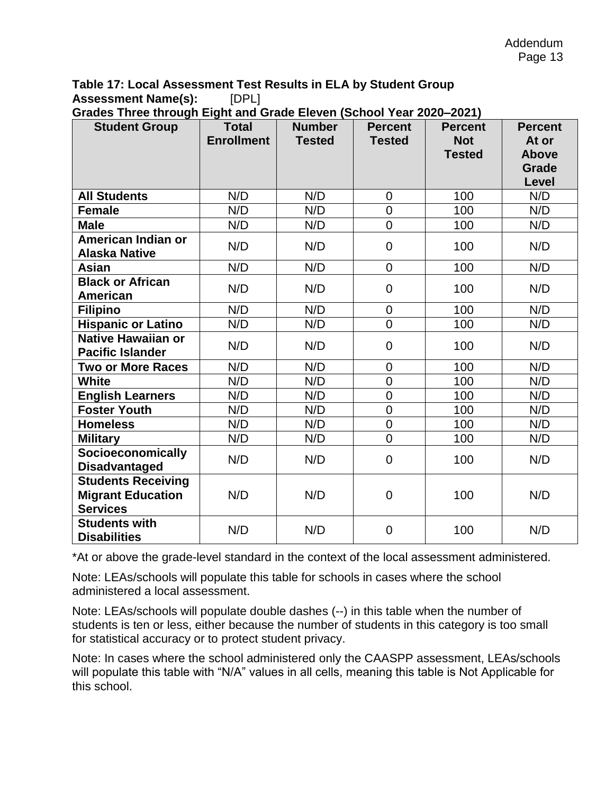### **Table 17: Local Assessment Test Results in ELA by Student Group Assessment Name(s):** [DPL]

| Grades Three through Eight and Grade Eleven (School Year 2020–2021) |  |  |  |  |
|---------------------------------------------------------------------|--|--|--|--|
|                                                                     |  |  |  |  |

| <b>Student Group</b>                                                     | <b>Total</b><br><b>Enrollment</b> | <b>Number</b><br><b>Tested</b> | <b>Percent</b><br><b>Tested</b> | <b>Percent</b><br><b>Not</b><br><b>Tested</b> | <b>Percent</b><br>At or<br><b>Above</b><br>Grade |
|--------------------------------------------------------------------------|-----------------------------------|--------------------------------|---------------------------------|-----------------------------------------------|--------------------------------------------------|
|                                                                          |                                   |                                |                                 |                                               | Level                                            |
| <b>All Students</b>                                                      | N/D                               | N/D                            | $\overline{0}$                  | 100                                           | N/D                                              |
| <b>Female</b>                                                            | N/D                               | N/D                            | $\boldsymbol{0}$                | 100                                           | N/D                                              |
| <b>Male</b>                                                              | N/D                               | N/D                            | $\overline{0}$                  | 100                                           | N/D                                              |
| American Indian or<br><b>Alaska Native</b>                               | N/D                               | N/D                            | $\mathbf 0$                     | 100                                           | N/D                                              |
| Asian                                                                    | N/D                               | N/D                            | $\overline{0}$                  | 100                                           | N/D                                              |
| <b>Black or African</b><br><b>American</b>                               | N/D                               | N/D                            | $\overline{0}$                  | 100                                           | N/D                                              |
| <b>Filipino</b>                                                          | N/D                               | N/D                            | $\overline{0}$                  | 100                                           | N/D                                              |
| <b>Hispanic or Latino</b>                                                | N/D                               | N/D                            | $\overline{0}$                  | 100                                           | N/D                                              |
| Native Hawaiian or<br><b>Pacific Islander</b>                            | N/D                               | N/D                            | $\overline{0}$                  | 100                                           | N/D                                              |
| <b>Two or More Races</b>                                                 | N/D                               | N/D                            | $\mathbf 0$                     | 100                                           | N/D                                              |
| <b>White</b>                                                             | N/D                               | N/D                            | $\overline{0}$                  | 100                                           | N/D                                              |
| <b>English Learners</b>                                                  | N/D                               | N/D                            | $\overline{0}$                  | 100                                           | N/D                                              |
| <b>Foster Youth</b>                                                      | N/D                               | N/D                            | $\overline{0}$                  | 100                                           | N/D                                              |
| <b>Homeless</b>                                                          | N/D                               | N/D                            | $\overline{0}$                  | 100                                           | N/D                                              |
| <b>Military</b>                                                          | N/D                               | N/D                            | $\overline{0}$                  | 100                                           | N/D                                              |
| Socioeconomically<br><b>Disadvantaged</b>                                | N/D                               | N/D                            | $\mathbf 0$                     | 100                                           | N/D                                              |
| <b>Students Receiving</b><br><b>Migrant Education</b><br><b>Services</b> | N/D                               | N/D                            | $\overline{0}$                  | 100                                           | N/D                                              |
| <b>Students with</b><br><b>Disabilities</b>                              | N/D                               | N/D                            | $\overline{0}$                  | 100                                           | N/D                                              |

\*At or above the grade-level standard in the context of the local assessment administered.

Note: LEAs/schools will populate this table for schools in cases where the school administered a local assessment.

Note: LEAs/schools will populate double dashes (--) in this table when the number of students is ten or less, either because the number of students in this category is too small for statistical accuracy or to protect student privacy.

Note: In cases where the school administered only the CAASPP assessment, LEAs/schools will populate this table with "N/A" values in all cells, meaning this table is Not Applicable for this school.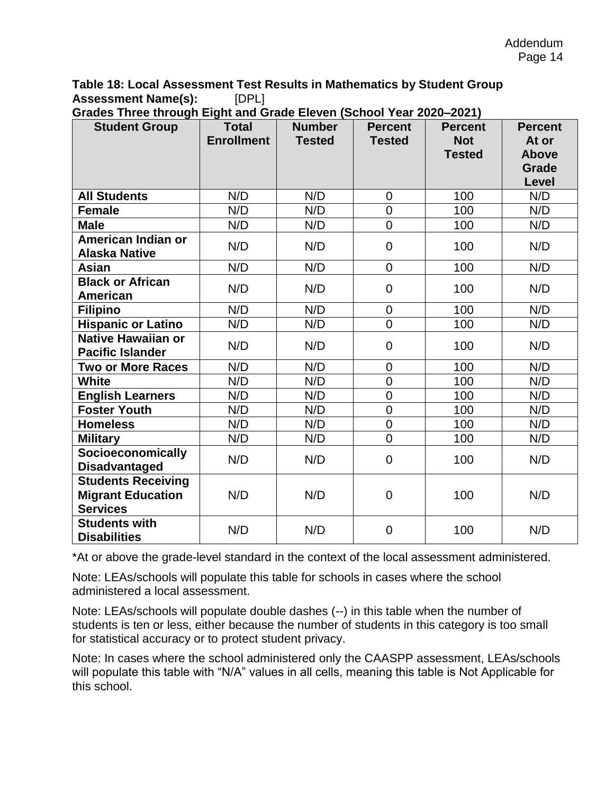**Table 18: Local Assessment Test Results in Mathematics by Student Group Assessment Name(s):** [DPL]

| <b>Student Group</b>                                                     | <b>Total</b>      | <b>Number</b> | <b>Percent</b> | <b>Percent</b> | <b>Percent</b>        |
|--------------------------------------------------------------------------|-------------------|---------------|----------------|----------------|-----------------------|
|                                                                          | <b>Enrollment</b> | <b>Tested</b> | <b>Tested</b>  | <b>Not</b>     | At or                 |
|                                                                          |                   |               |                | <b>Tested</b>  | <b>Above</b>          |
|                                                                          |                   |               |                |                | <b>Grade</b><br>Level |
| <b>All Students</b>                                                      | N/D               | N/D           | $\mathbf 0$    | 100            | N/D                   |
| <b>Female</b>                                                            | N/D               | N/D           | $\mathbf 0$    | 100            | N/D                   |
|                                                                          |                   |               |                |                |                       |
| <b>Male</b>                                                              | N/D               | N/D           | $\overline{0}$ | 100            | N/D                   |
| American Indian or<br><b>Alaska Native</b>                               | N/D               | N/D           | $\mathbf 0$    | 100            | N/D                   |
| Asian                                                                    | N/D               | N/D           | $\mathbf 0$    | 100            | N/D                   |
| <b>Black or African</b><br>American                                      | N/D               | N/D           | $\mathbf 0$    | 100            | N/D                   |
| <b>Filipino</b>                                                          | N/D               | N/D           | $\overline{0}$ | 100            | N/D                   |
| <b>Hispanic or Latino</b>                                                | N/D               | N/D           | $\overline{0}$ | 100            | N/D                   |
| Native Hawaiian or<br><b>Pacific Islander</b>                            | N/D               | N/D           | $\mathbf 0$    | 100            | N/D                   |
| <b>Two or More Races</b>                                                 | N/D               | N/D           | $\overline{0}$ | 100            | N/D                   |
| <b>White</b>                                                             | N/D               | N/D           | $\mathbf 0$    | 100            | N/D                   |
| <b>English Learners</b>                                                  | N/D               | N/D           | $\overline{0}$ | 100            | N/D                   |
| <b>Foster Youth</b>                                                      | N/D               | N/D           | $\overline{0}$ | 100            | N/D                   |
| <b>Homeless</b>                                                          | N/D               | N/D           | $\overline{0}$ | 100            | N/D                   |
| <b>Military</b>                                                          | N/D               | N/D           | $\overline{0}$ | 100            | N/D                   |
| Socioeconomically                                                        |                   |               |                |                |                       |
| <b>Disadvantaged</b>                                                     | N/D               | N/D           | $\overline{0}$ | 100            | N/D                   |
| <b>Students Receiving</b><br><b>Migrant Education</b><br><b>Services</b> | N/D               | N/D           | $\overline{0}$ | 100            | N/D                   |
| <b>Students with</b><br><b>Disabilities</b>                              | N/D               | N/D           | $\overline{0}$ | 100            | N/D                   |

**Grades Three through Eight and Grade Eleven (School Year 2020–2021)**

\*At or above the grade-level standard in the context of the local assessment administered.

Note: LEAs/schools will populate this table for schools in cases where the school administered a local assessment.

Note: LEAs/schools will populate double dashes (--) in this table when the number of students is ten or less, either because the number of students in this category is too small for statistical accuracy or to protect student privacy.

Note: In cases where the school administered only the CAASPP assessment, LEAs/schools will populate this table with "N/A" values in all cells, meaning this table is Not Applicable for this school.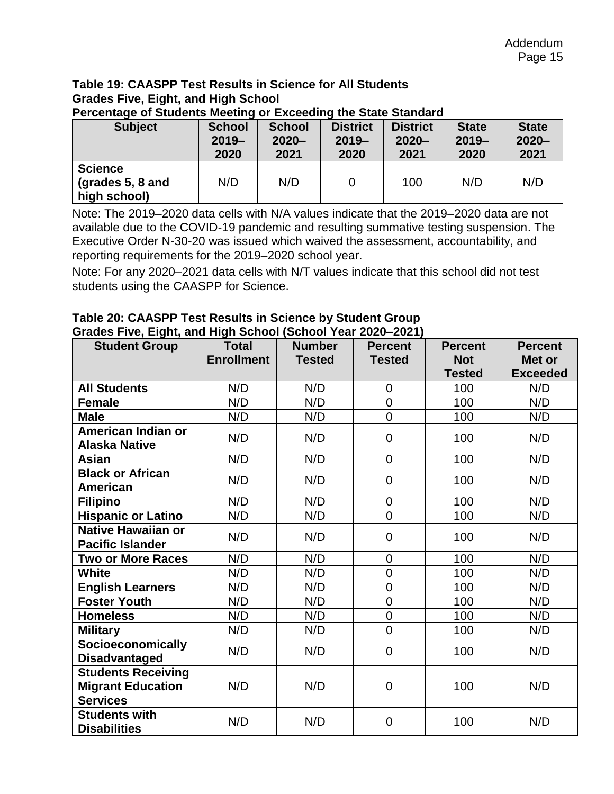### **Table 19: CAASPP Test Results in Science for All Students Grades Five, Eight, and High School**

| . .<br><b>Subject</b>                              | <b>School</b><br>$2019 -$<br>2020 | <b>School</b><br>$2020 -$<br>2021 | <b>District</b><br>$2019 -$<br>2020 | <b>District</b><br>$2020 -$<br>2021 | <b>State</b><br>$2019 -$<br>2020 | <b>State</b><br>$2020 -$<br>2021 |
|----------------------------------------------------|-----------------------------------|-----------------------------------|-------------------------------------|-------------------------------------|----------------------------------|----------------------------------|
| <b>Science</b><br>(grades 5, 8 and<br>high school) | N/D                               | N/D                               |                                     | 100                                 | N/D                              | N/D                              |

**Percentage of Students Meeting or Exceeding the State Standard**

Note: The 2019–2020 data cells with N/A values indicate that the 2019–2020 data are not available due to the COVID-19 pandemic and resulting summative testing suspension. The Executive Order N-30-20 was issued which waived the assessment, accountability, and reporting requirements for the 2019–2020 school year.

Note: For any 2020–2021 data cells with N/T values indicate that this school did not test students using the CAASPP for Science.

| <b>Student Group</b>                                                     | <b>Total</b><br><b>Enrollment</b> | <b>Number</b><br><b>Tested</b> | <b>Percent</b><br><b>Tested</b> | <b>Percent</b><br><b>Not</b><br><b>Tested</b> | <b>Percent</b><br>Met or<br><b>Exceeded</b> |
|--------------------------------------------------------------------------|-----------------------------------|--------------------------------|---------------------------------|-----------------------------------------------|---------------------------------------------|
| <b>All Students</b>                                                      | N/D                               | N/D                            | $\overline{0}$                  | 100                                           | N/D                                         |
| <b>Female</b>                                                            | N/D                               | N/D                            | $\mathbf 0$                     | 100                                           | N/D                                         |
| <b>Male</b>                                                              | N/D                               | N/D                            | $\overline{0}$                  | 100                                           | N/D                                         |
| American Indian or<br><b>Alaska Native</b>                               | N/D                               | N/D                            | $\overline{0}$                  | 100                                           | N/D                                         |
| Asian                                                                    | N/D                               | N/D                            | $\overline{0}$                  | 100                                           | N/D                                         |
| <b>Black or African</b><br><b>American</b>                               | N/D                               | N/D                            | $\overline{0}$                  | 100                                           | N/D                                         |
| <b>Filipino</b>                                                          | N/D                               | N/D                            | $\mathbf 0$                     | 100                                           | N/D                                         |
| <b>Hispanic or Latino</b>                                                | N/D                               | N/D                            | $\overline{0}$                  | 100                                           | N/D                                         |
| <b>Native Hawaiian or</b><br><b>Pacific Islander</b>                     | N/D                               | N/D                            | $\overline{0}$                  | 100                                           | N/D                                         |
| <b>Two or More Races</b>                                                 | N/D                               | N/D                            | $\mathbf 0$                     | 100                                           | N/D                                         |
| <b>White</b>                                                             | N/D                               | N/D                            | $\overline{0}$                  | 100                                           | N/D                                         |
| <b>English Learners</b>                                                  | N/D                               | N/D                            | $\overline{0}$                  | 100                                           | N/D                                         |
| <b>Foster Youth</b>                                                      | N/D                               | N/D                            | $\overline{0}$                  | 100                                           | N/D                                         |
| <b>Homeless</b>                                                          | N/D                               | N/D                            | $\overline{0}$                  | 100                                           | N/D                                         |
| <b>Military</b>                                                          | N/D                               | N/D                            | $\overline{0}$                  | 100                                           | N/D                                         |
| <b>Socioeconomically</b><br><b>Disadvantaged</b>                         | N/D                               | N/D                            | $\overline{0}$                  | 100                                           | N/D                                         |
| <b>Students Receiving</b><br><b>Migrant Education</b><br><b>Services</b> | N/D                               | N/D                            | $\overline{0}$                  | 100                                           | N/D                                         |
| <b>Students with</b><br><b>Disabilities</b>                              | N/D                               | N/D                            | $\overline{0}$                  | 100                                           | N/D                                         |

#### **Table 20: CAASPP Test Results in Science by Student Group Grades Five, Eight, and High School (School Year 2020–2021)**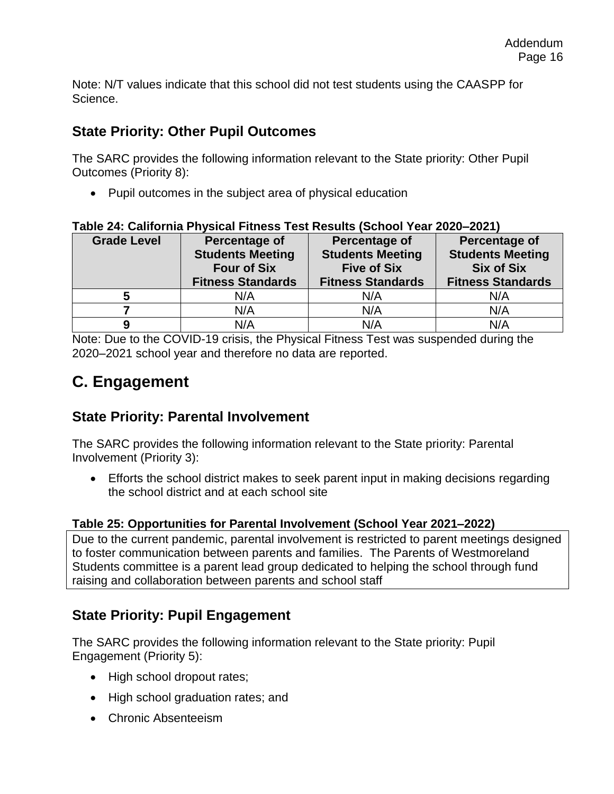Note: N/T values indicate that this school did not test students using the CAASPP for Science.

### **State Priority: Other Pupil Outcomes**

The SARC provides the following information relevant to the State priority: Other Pupil Outcomes (Priority 8):

• Pupil outcomes in the subject area of physical education

| <b>Grade Level</b> | Percentage of<br><b>Students Meeting</b><br><b>Four of Six</b> | Percentage of<br><b>Students Meeting</b><br><b>Five of Six</b> | Percentage of<br><b>Students Meeting</b><br><b>Six of Six</b> |
|--------------------|----------------------------------------------------------------|----------------------------------------------------------------|---------------------------------------------------------------|
|                    | <b>Fitness Standards</b>                                       | <b>Fitness Standards</b>                                       | <b>Fitness Standards</b>                                      |
|                    | N/A                                                            | N/A                                                            | N/A                                                           |
|                    | N/A                                                            | N/A                                                            | N/A                                                           |
| g                  | N/A                                                            | N/A                                                            | N/A                                                           |

#### **Table 24: California Physical Fitness Test Results (School Year 2020–2021)**

Note: Due to the COVID-19 crisis, the Physical Fitness Test was suspended during the 2020–2021 school year and therefore no data are reported.

### **C. Engagement**

### **State Priority: Parental Involvement**

The SARC provides the following information relevant to the State priority: Parental Involvement (Priority 3):

• Efforts the school district makes to seek parent input in making decisions regarding the school district and at each school site

### **Table 25: Opportunities for Parental Involvement (School Year 2021–2022)**

Due to the current pandemic, parental involvement is restricted to parent meetings designed to foster communication between parents and families. The Parents of Westmoreland Students committee is a parent lead group dedicated to helping the school through fund raising and collaboration between parents and school staff

### **State Priority: Pupil Engagement**

The SARC provides the following information relevant to the State priority: Pupil Engagement (Priority 5):

- High school dropout rates;
- High school graduation rates; and
- Chronic Absenteeism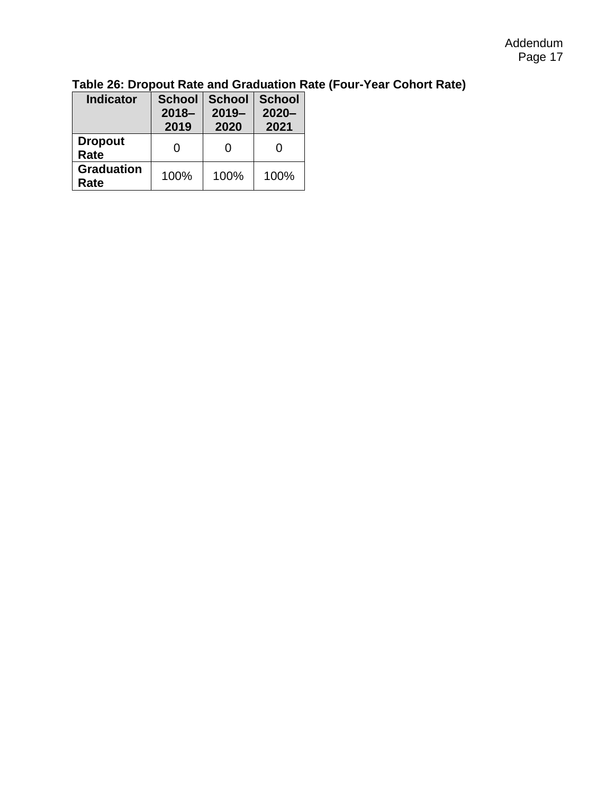#### Addendum Page 17

| <b>Indicator</b>          | <b>School</b><br>$2018 -$<br>2019 | <b>School</b><br>$2019 -$<br>2020 | <b>School</b><br>$2020 -$<br>2021 |
|---------------------------|-----------------------------------|-----------------------------------|-----------------------------------|
| <b>Dropout</b><br>Rate    | O                                 | O                                 |                                   |
| <b>Graduation</b><br>Rate | 100%                              | 100%                              | 100%                              |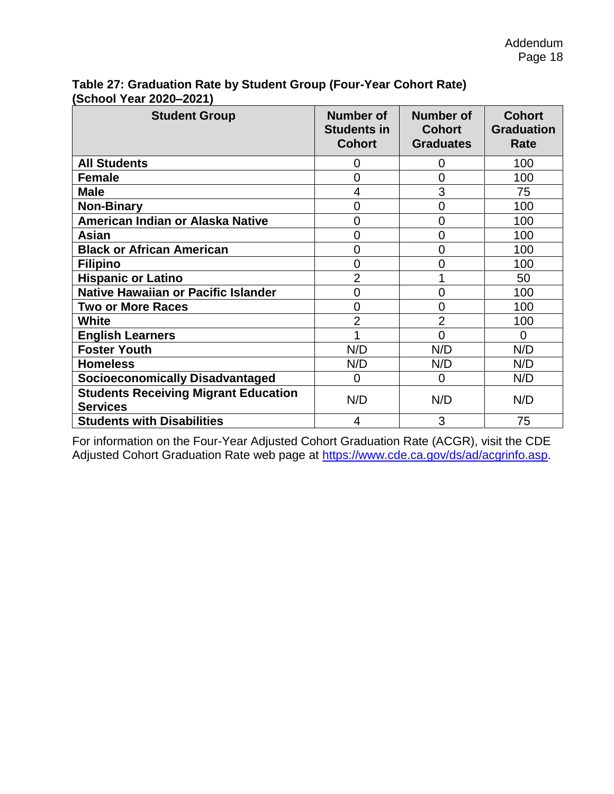| 0.100. TOG: 2020 2021)                                         |                                                         |                                                       |                                            |  |  |  |
|----------------------------------------------------------------|---------------------------------------------------------|-------------------------------------------------------|--------------------------------------------|--|--|--|
| <b>Student Group</b>                                           | <b>Number of</b><br><b>Students in</b><br><b>Cohort</b> | <b>Number of</b><br><b>Cohort</b><br><b>Graduates</b> | <b>Cohort</b><br><b>Graduation</b><br>Rate |  |  |  |
| <b>All Students</b>                                            | 0                                                       | 0                                                     | 100                                        |  |  |  |
| <b>Female</b>                                                  | 0                                                       | $\overline{0}$                                        | 100                                        |  |  |  |
| <b>Male</b>                                                    | 4                                                       | 3                                                     | 75                                         |  |  |  |
| <b>Non-Binary</b>                                              | 0                                                       | 0                                                     | 100                                        |  |  |  |
| American Indian or Alaska Native                               | $\overline{0}$                                          | $\overline{0}$                                        | 100                                        |  |  |  |
| Asian                                                          | 0                                                       | 0                                                     | 100                                        |  |  |  |
| <b>Black or African American</b>                               | 0                                                       | 0                                                     | 100                                        |  |  |  |
| <b>Filipino</b>                                                | 0                                                       | 0                                                     | 100                                        |  |  |  |
| <b>Hispanic or Latino</b>                                      | $\overline{2}$                                          |                                                       | 50                                         |  |  |  |
| <b>Native Hawaiian or Pacific Islander</b>                     | 0                                                       | 0                                                     | 100                                        |  |  |  |
| <b>Two or More Races</b>                                       | $\overline{0}$                                          | $\overline{0}$                                        | 100                                        |  |  |  |
| <b>White</b>                                                   | $\overline{2}$                                          | $\overline{2}$                                        | 100                                        |  |  |  |
| <b>English Learners</b>                                        |                                                         | $\overline{0}$                                        | $\Omega$                                   |  |  |  |
| <b>Foster Youth</b>                                            | N/D                                                     | N/D                                                   | N/D                                        |  |  |  |
| <b>Homeless</b>                                                | N/D                                                     | N/D                                                   | N/D                                        |  |  |  |
| <b>Socioeconomically Disadvantaged</b>                         | 0                                                       | $\overline{0}$                                        | N/D                                        |  |  |  |
| <b>Students Receiving Migrant Education</b><br><b>Services</b> | N/D                                                     | N/D                                                   | N/D                                        |  |  |  |
| <b>Students with Disabilities</b>                              | 4                                                       | 3                                                     | 75                                         |  |  |  |

**Table 27: Graduation Rate by Student Group (Four-Year Cohort Rate) (School Year 2020–2021)**

For information on the Four-Year Adjusted Cohort Graduation Rate (ACGR), visit the CDE Adjusted Cohort Graduation Rate web page at [https://www.cde.ca.gov/ds/ad/acgrinfo.asp.](https://www.cde.ca.gov/ds/ad/acgrinfo.asp)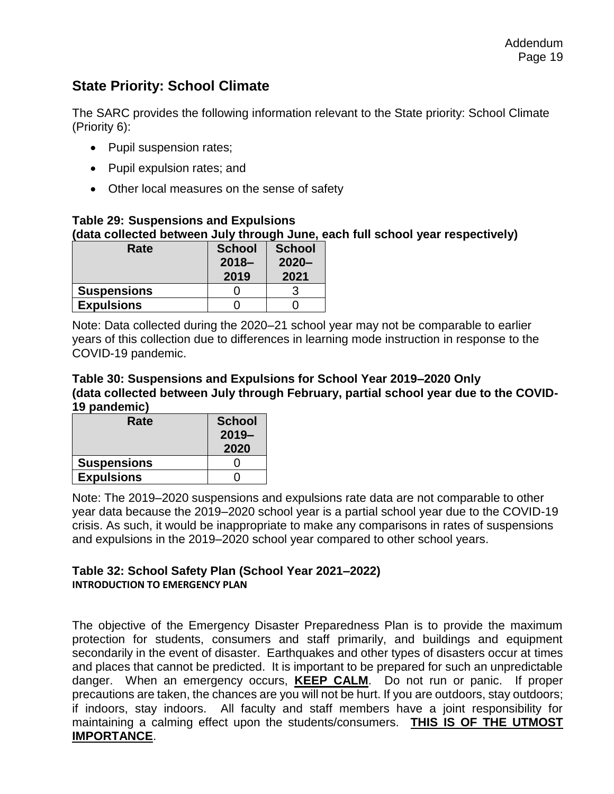### **State Priority: School Climate**

The SARC provides the following information relevant to the State priority: School Climate (Priority 6):

- Pupil suspension rates;
- Pupil expulsion rates; and
- Other local measures on the sense of safety

#### **Table 29: Suspensions and Expulsions (data collected between July through June, each full school year respectively)**

| Rate               | <b>School</b><br>$2018 -$<br>2019 | <b>School</b><br>$2020 -$<br>2021 |
|--------------------|-----------------------------------|-----------------------------------|
| <b>Suspensions</b> |                                   |                                   |
| <b>Expulsions</b>  |                                   |                                   |

Note: Data collected during the 2020–21 school year may not be comparable to earlier years of this collection due to differences in learning mode instruction in response to the COVID-19 pandemic.

#### **Table 30: Suspensions and Expulsions for School Year 2019–2020 Only (data collected between July through February, partial school year due to the COVID-19 pandemic)**

| Rate               | <b>School</b> |  |
|--------------------|---------------|--|
|                    | $2019 -$      |  |
|                    | 2020          |  |
| <b>Suspensions</b> |               |  |
| <b>Expulsions</b>  |               |  |

Note: The 2019–2020 suspensions and expulsions rate data are not comparable to other year data because the 2019–2020 school year is a partial school year due to the COVID-19 crisis. As such, it would be inappropriate to make any comparisons in rates of suspensions and expulsions in the 2019–2020 school year compared to other school years.

#### **Table 32: School Safety Plan (School Year 2021–2022) INTRODUCTION TO EMERGENCY PLAN**

The objective of the Emergency Disaster Preparedness Plan is to provide the maximum protection for students, consumers and staff primarily, and buildings and equipment secondarily in the event of disaster. Earthquakes and other types of disasters occur at times and places that cannot be predicted. It is important to be prepared for such an unpredictable danger. When an emergency occurs, **KEEP CALM**. Do not run or panic. If proper precautions are taken, the chances are you will not be hurt. If you are outdoors, stay outdoors; if indoors, stay indoors. All faculty and staff members have a joint responsibility for maintaining a calming effect upon the students/consumers. **THIS IS OF THE UTMOST IMPORTANCE**.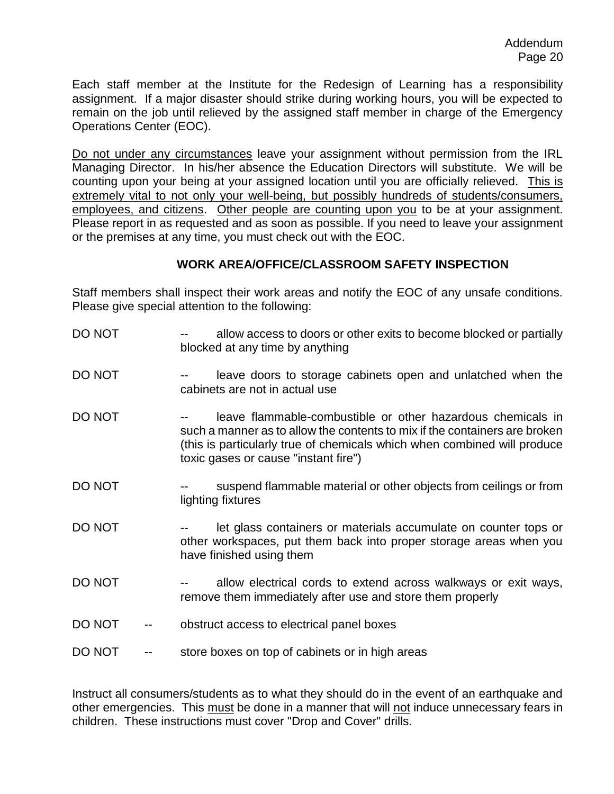Each staff member at the Institute for the Redesign of Learning has a responsibility assignment. If a major disaster should strike during working hours, you will be expected to remain on the job until relieved by the assigned staff member in charge of the Emergency Operations Center (EOC).

Do not under any circumstances leave your assignment without permission from the IRL Managing Director. In his/her absence the Education Directors will substitute. We will be counting upon your being at your assigned location until you are officially relieved. This is extremely vital to not only your well-being, but possibly hundreds of students/consumers, employees, and citizens. Other people are counting upon you to be at your assignment. Please report in as requested and as soon as possible. If you need to leave your assignment or the premises at any time, you must check out with the EOC.

#### **WORK AREA/OFFICE/CLASSROOM SAFETY INSPECTION**

Staff members shall inspect their work areas and notify the EOC of any unsafe conditions. Please give special attention to the following:

| DO NOT | allow access to doors or other exits to become blocked or partially<br>blocked at any time by anything                                                                                                                                                        |
|--------|---------------------------------------------------------------------------------------------------------------------------------------------------------------------------------------------------------------------------------------------------------------|
| DO NOT | leave doors to storage cabinets open and unlatched when the<br>cabinets are not in actual use                                                                                                                                                                 |
| DO NOT | leave flammable-combustible or other hazardous chemicals in<br>such a manner as to allow the contents to mix if the containers are broken<br>(this is particularly true of chemicals which when combined will produce<br>toxic gases or cause "instant fire") |
| DO NOT | suspend flammable material or other objects from ceilings or from<br>lighting fixtures                                                                                                                                                                        |
| DO NOT | let glass containers or materials accumulate on counter tops or<br>other workspaces, put them back into proper storage areas when you<br>have finished using them                                                                                             |
| DO NOT | allow electrical cords to extend across walkways or exit ways,<br>remove them immediately after use and store them properly                                                                                                                                   |
| DO NOT | obstruct access to electrical panel boxes                                                                                                                                                                                                                     |
| DO NOT | store boxes on top of cabinets or in high areas                                                                                                                                                                                                               |

Instruct all consumers/students as to what they should do in the event of an earthquake and other emergencies. This must be done in a manner that will not induce unnecessary fears in children. These instructions must cover "Drop and Cover" drills.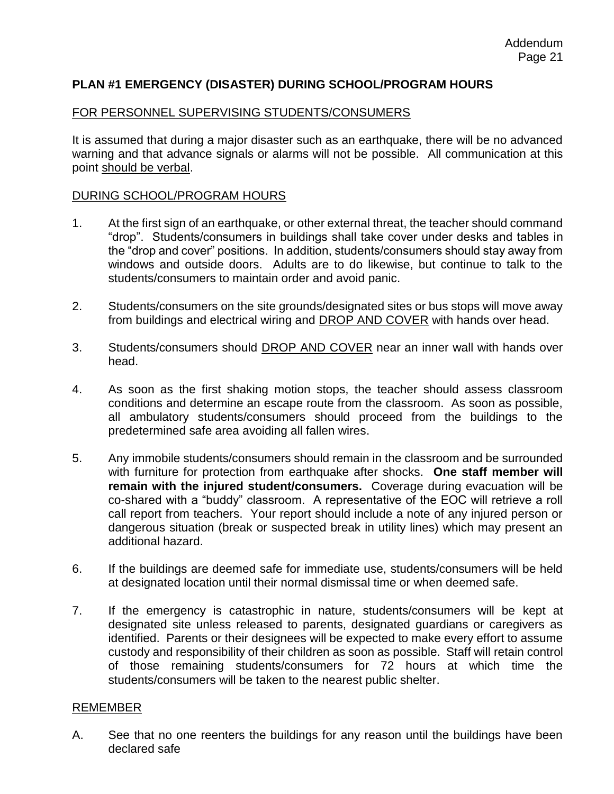#### **PLAN #1 EMERGENCY (DISASTER) DURING SCHOOL/PROGRAM HOURS**

#### FOR PERSONNEL SUPERVISING STUDENTS/CONSUMERS

It is assumed that during a major disaster such as an earthquake, there will be no advanced warning and that advance signals or alarms will not be possible. All communication at this point should be verbal.

#### DURING SCHOOL/PROGRAM HOURS

- 1. At the first sign of an earthquake, or other external threat, the teacher should command "drop". Students/consumers in buildings shall take cover under desks and tables in the "drop and cover" positions. In addition, students/consumers should stay away from windows and outside doors. Adults are to do likewise, but continue to talk to the students/consumers to maintain order and avoid panic.
- 2. Students/consumers on the site grounds/designated sites or bus stops will move away from buildings and electrical wiring and DROP AND COVER with hands over head.
- 3. Students/consumers should DROP AND COVER near an inner wall with hands over head.
- 4. As soon as the first shaking motion stops, the teacher should assess classroom conditions and determine an escape route from the classroom. As soon as possible, all ambulatory students/consumers should proceed from the buildings to the predetermined safe area avoiding all fallen wires.
- 5. Any immobile students/consumers should remain in the classroom and be surrounded with furniture for protection from earthquake after shocks. **One staff member will remain with the injured student/consumers.** Coverage during evacuation will be co-shared with a "buddy" classroom. A representative of the EOC will retrieve a roll call report from teachers. Your report should include a note of any injured person or dangerous situation (break or suspected break in utility lines) which may present an additional hazard.
- 6. If the buildings are deemed safe for immediate use, students/consumers will be held at designated location until their normal dismissal time or when deemed safe.
- 7. If the emergency is catastrophic in nature, students/consumers will be kept at designated site unless released to parents, designated guardians or caregivers as identified. Parents or their designees will be expected to make every effort to assume custody and responsibility of their children as soon as possible. Staff will retain control of those remaining students/consumers for 72 hours at which time the students/consumers will be taken to the nearest public shelter.

#### REMEMBER

A. See that no one reenters the buildings for any reason until the buildings have been declared safe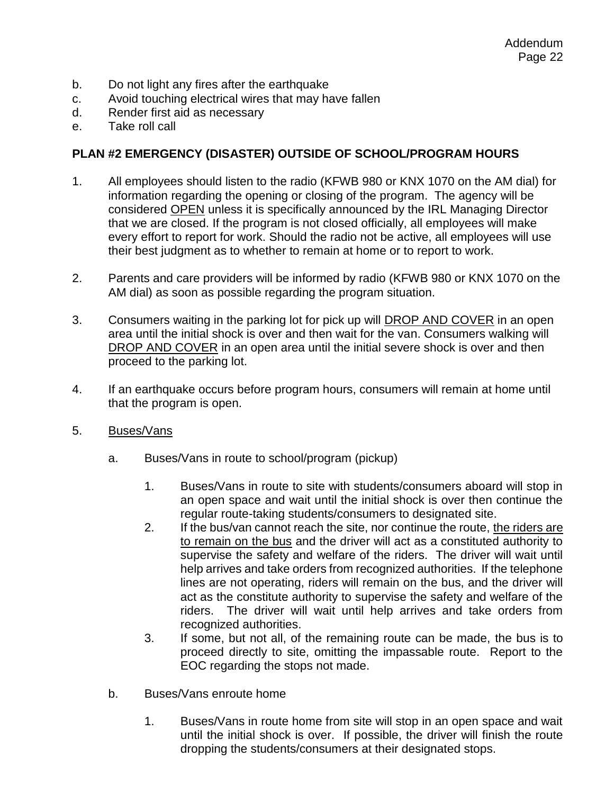- b. Do not light any fires after the earthquake
- c. Avoid touching electrical wires that may have fallen
- d. Render first aid as necessary
- e. Take roll call

#### **PLAN #2 EMERGENCY (DISASTER) OUTSIDE OF SCHOOL/PROGRAM HOURS**

- 1. All employees should listen to the radio (KFWB 980 or KNX 1070 on the AM dial) for information regarding the opening or closing of the program. The agency will be considered OPEN unless it is specifically announced by the IRL Managing Director that we are closed. If the program is not closed officially, all employees will make every effort to report for work. Should the radio not be active, all employees will use their best judgment as to whether to remain at home or to report to work.
- 2. Parents and care providers will be informed by radio (KFWB 980 or KNX 1070 on the AM dial) as soon as possible regarding the program situation.
- 3. Consumers waiting in the parking lot for pick up will **DROP AND COVER** in an open area until the initial shock is over and then wait for the van. Consumers walking will DROP AND COVER in an open area until the initial severe shock is over and then proceed to the parking lot.
- 4. If an earthquake occurs before program hours, consumers will remain at home until that the program is open.
- 5. Buses/Vans
	- a. Buses/Vans in route to school/program (pickup)
		- 1. Buses/Vans in route to site with students/consumers aboard will stop in an open space and wait until the initial shock is over then continue the regular route-taking students/consumers to designated site.
		- 2. If the bus/van cannot reach the site, nor continue the route, the riders are to remain on the bus and the driver will act as a constituted authority to supervise the safety and welfare of the riders. The driver will wait until help arrives and take orders from recognized authorities. If the telephone lines are not operating, riders will remain on the bus, and the driver will act as the constitute authority to supervise the safety and welfare of the riders. The driver will wait until help arrives and take orders from recognized authorities.
		- 3. If some, but not all, of the remaining route can be made, the bus is to proceed directly to site, omitting the impassable route. Report to the EOC regarding the stops not made.
	- b. Buses/Vans enroute home
		- 1. Buses/Vans in route home from site will stop in an open space and wait until the initial shock is over. If possible, the driver will finish the route dropping the students/consumers at their designated stops.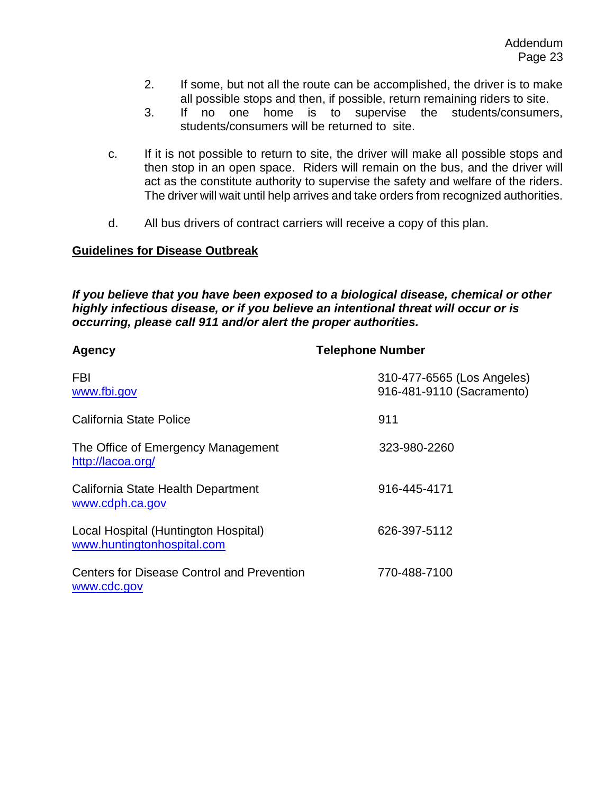- 2. If some, but not all the route can be accomplished, the driver is to make all possible stops and then, if possible, return remaining riders to site.
- 3. If no one home is to supervise the students/consumers, students/consumers will be returned to site.
- c. If it is not possible to return to site, the driver will make all possible stops and then stop in an open space. Riders will remain on the bus, and the driver will act as the constitute authority to supervise the safety and welfare of the riders. The driver will wait until help arrives and take orders from recognized authorities.
- d. All bus drivers of contract carriers will receive a copy of this plan.

#### **Guidelines for Disease Outbreak**

*If you believe that you have been exposed to a biological disease, chemical or other highly infectious disease, or if you believe an intentional threat will occur or is occurring, please call 911 and/or alert the proper authorities.*

| Agency                                                             | <b>Telephone Number</b>                                 |
|--------------------------------------------------------------------|---------------------------------------------------------|
| <b>FBI</b><br>www.fbi.gov                                          | 310-477-6565 (Los Angeles)<br>916-481-9110 (Sacramento) |
| California State Police                                            | 911                                                     |
| The Office of Emergency Management<br>http://lacoa.org/            | 323-980-2260                                            |
| California State Health Department<br>www.cdph.ca.gov              | 916-445-4171                                            |
| Local Hospital (Huntington Hospital)<br>www.huntingtonhospital.com | 626-397-5112                                            |
| <b>Centers for Disease Control and Prevention</b><br>www.cdc.gov   | 770-488-7100                                            |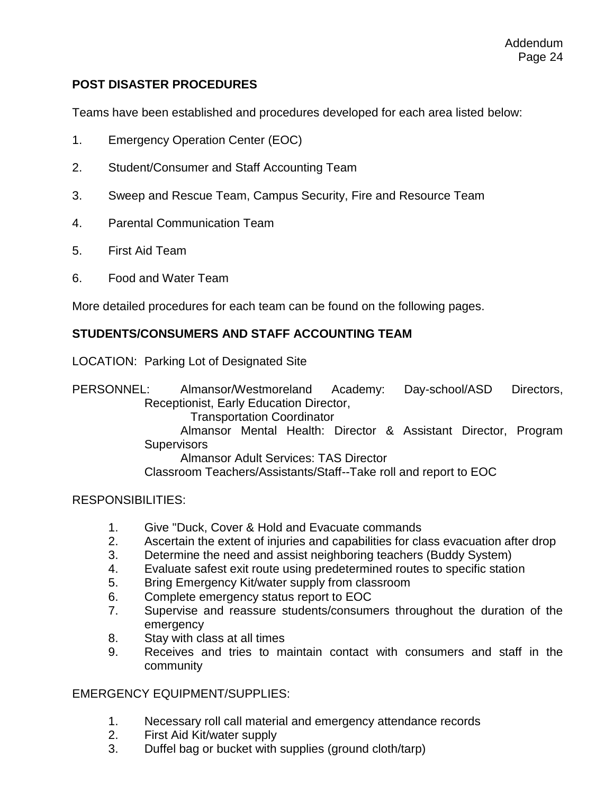#### **POST DISASTER PROCEDURES**

Teams have been established and procedures developed for each area listed below:

- 1. Emergency Operation Center (EOC)
- 2. Student/Consumer and Staff Accounting Team
- 3. Sweep and Rescue Team, Campus Security, Fire and Resource Team
- 4. Parental Communication Team
- 5. First Aid Team
- 6. Food and Water Team

More detailed procedures for each team can be found on the following pages.

#### **STUDENTS/CONSUMERS AND STAFF ACCOUNTING TEAM**

LOCATION: Parking Lot of Designated Site

PERSONNEL: Almansor/Westmoreland Academy: Day-school/ASD Directors, Receptionist, Early Education Director, Transportation Coordinator Almansor Mental Health: Director & Assistant Director, Program **Supervisors** Almansor Adult Services: TAS Director Classroom Teachers/Assistants/Staff--Take roll and report to EOC

#### RESPONSIBILITIES:

- 1. Give "Duck, Cover & Hold and Evacuate commands
- 2. Ascertain the extent of injuries and capabilities for class evacuation after drop
- 3. Determine the need and assist neighboring teachers (Buddy System)
- 4. Evaluate safest exit route using predetermined routes to specific station
- 5. Bring Emergency Kit/water supply from classroom
- 6. Complete emergency status report to EOC
- 7. Supervise and reassure students/consumers throughout the duration of the emergency
- 8. Stay with class at all times
- 9. Receives and tries to maintain contact with consumers and staff in the community

#### EMERGENCY EQUIPMENT/SUPPLIES:

- 1. Necessary roll call material and emergency attendance records
- 2. First Aid Kit/water supply
- 3. Duffel bag or bucket with supplies (ground cloth/tarp)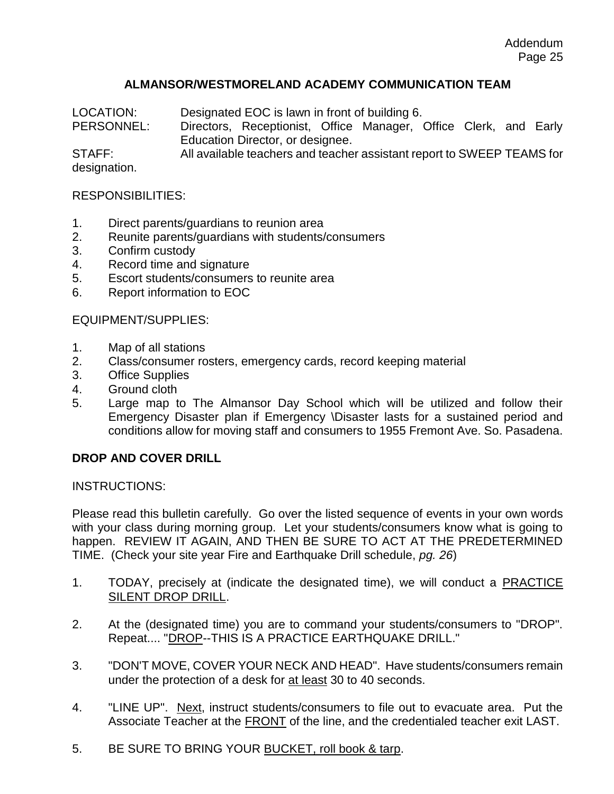#### **ALMANSOR/WESTMORELAND ACADEMY COMMUNICATION TEAM**

LOCATION: Designated EOC is lawn in front of building 6.

PERSONNEL: Directors, Receptionist, Office Manager, Office Clerk, and Early Education Director, or designee.

STAFF: All available teachers and teacher assistant report to SWEEP TEAMS for designation.

#### RESPONSIBILITIES:

- 1. Direct parents/guardians to reunion area
- 2. Reunite parents/guardians with students/consumers
- 3. Confirm custody
- 4. Record time and signature
- 5. Escort students/consumers to reunite area
- 6. Report information to EOC

#### EQUIPMENT/SUPPLIES:

- 1. Map of all stations
- 2. Class/consumer rosters, emergency cards, record keeping material
- 3. Office Supplies
- 4. Ground cloth
- 5. Large map to The Almansor Day School which will be utilized and follow their Emergency Disaster plan if Emergency \Disaster lasts for a sustained period and conditions allow for moving staff and consumers to 1955 Fremont Ave. So. Pasadena.

#### **DROP AND COVER DRILL**

INSTRUCTIONS:

Please read this bulletin carefully. Go over the listed sequence of events in your own words with your class during morning group. Let your students/consumers know what is going to happen. REVIEW IT AGAIN, AND THEN BE SURE TO ACT AT THE PREDETERMINED TIME. (Check your site year Fire and Earthquake Drill schedule, *pg. 26*)

- 1. TODAY, precisely at (indicate the designated time), we will conduct a PRACTICE SILENT DROP DRILL.
- 2. At the (designated time) you are to command your students/consumers to "DROP". Repeat.... "DROP--THIS IS A PRACTICE EARTHQUAKE DRILL."
- 3. "DON'T MOVE, COVER YOUR NECK AND HEAD". Have students/consumers remain under the protection of a desk for at least 30 to 40 seconds.
- 4. "LINE UP". Next, instruct students/consumers to file out to evacuate area. Put the Associate Teacher at the FRONT of the line, and the credentialed teacher exit LAST.
- 5. BE SURE TO BRING YOUR BUCKET, roll book & tarp.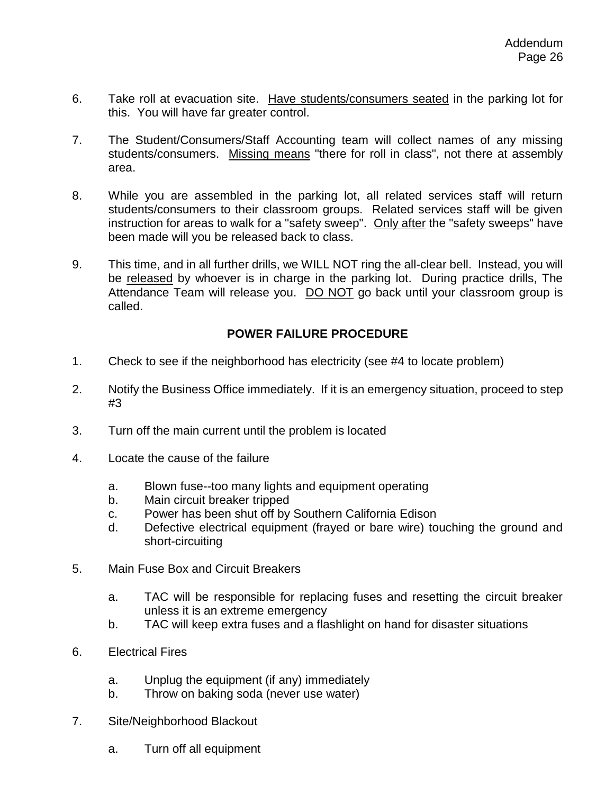- 6. Take roll at evacuation site. Have students/consumers seated in the parking lot for this. You will have far greater control.
- 7. The Student/Consumers/Staff Accounting team will collect names of any missing students/consumers. Missing means "there for roll in class", not there at assembly area.
- 8. While you are assembled in the parking lot, all related services staff will return students/consumers to their classroom groups. Related services staff will be given instruction for areas to walk for a "safety sweep". Only after the "safety sweeps" have been made will you be released back to class.
- 9. This time, and in all further drills, we WILL NOT ring the all-clear bell. Instead, you will be released by whoever is in charge in the parking lot. During practice drills, The Attendance Team will release you. DO NOT go back until your classroom group is called.

#### **POWER FAILURE PROCEDURE**

- 1. Check to see if the neighborhood has electricity (see #4 to locate problem)
- 2. Notify the Business Office immediately. If it is an emergency situation, proceed to step #3
- 3. Turn off the main current until the problem is located
- 4. Locate the cause of the failure
	- a. Blown fuse--too many lights and equipment operating
	- b. Main circuit breaker tripped
	- c. Power has been shut off by Southern California Edison
	- d. Defective electrical equipment (frayed or bare wire) touching the ground and short-circuiting
- 5. Main Fuse Box and Circuit Breakers
	- a. TAC will be responsible for replacing fuses and resetting the circuit breaker unless it is an extreme emergency
	- b. TAC will keep extra fuses and a flashlight on hand for disaster situations
- 6. Electrical Fires
	- a. Unplug the equipment (if any) immediately
	- b. Throw on baking soda (never use water)
- 7. Site/Neighborhood Blackout
	- a. Turn off all equipment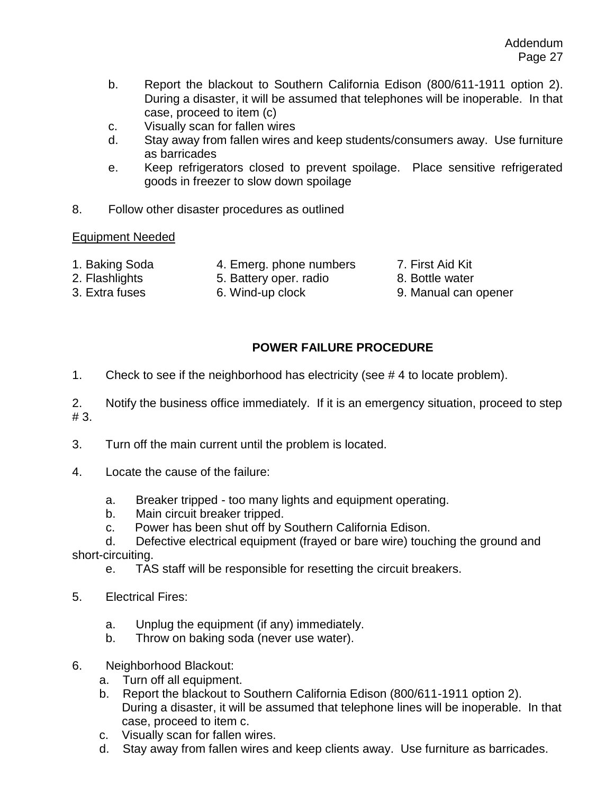- b. Report the blackout to Southern California Edison (800/611-1911 option 2). During a disaster, it will be assumed that telephones will be inoperable. In that case, proceed to item (c)
- c. Visually scan for fallen wires
- d. Stay away from fallen wires and keep students/consumers away. Use furniture as barricades
- e. Keep refrigerators closed to prevent spoilage. Place sensitive refrigerated goods in freezer to slow down spoilage
- 8. Follow other disaster procedures as outlined

#### Equipment Needed

- 
- 1. Baking Soda 4. Emerg. phone numbers 7. First Aid Kit
	-
- 
- 2. Flashlights 5. Battery oper. radio 8. Bottle water
- 
- 3. Extra fuses 6. Wind-up clock 9. Manual can opener
- 
- 

### **POWER FAILURE PROCEDURE**

1. Check to see if the neighborhood has electricity (see # 4 to locate problem).

2. Notify the business office immediately. If it is an emergency situation, proceed to step # 3.

- 3. Turn off the main current until the problem is located.
- 4. Locate the cause of the failure:
	- a. Breaker tripped too many lights and equipment operating.
	- b. Main circuit breaker tripped.
	- c. Power has been shut off by Southern California Edison.

 d. Defective electrical equipment (frayed or bare wire) touching the ground and short-circuiting.

- e. TAS staff will be responsible for resetting the circuit breakers.
- 5. Electrical Fires:
	- a. Unplug the equipment (if any) immediately.
	- b. Throw on baking soda (never use water).
- 6. Neighborhood Blackout:
	- a. Turn off all equipment.
	- b. Report the blackout to Southern California Edison (800/611-1911 option 2). During a disaster, it will be assumed that telephone lines will be inoperable. In that case, proceed to item c.
	- c. Visually scan for fallen wires.
	- d. Stay away from fallen wires and keep clients away. Use furniture as barricades.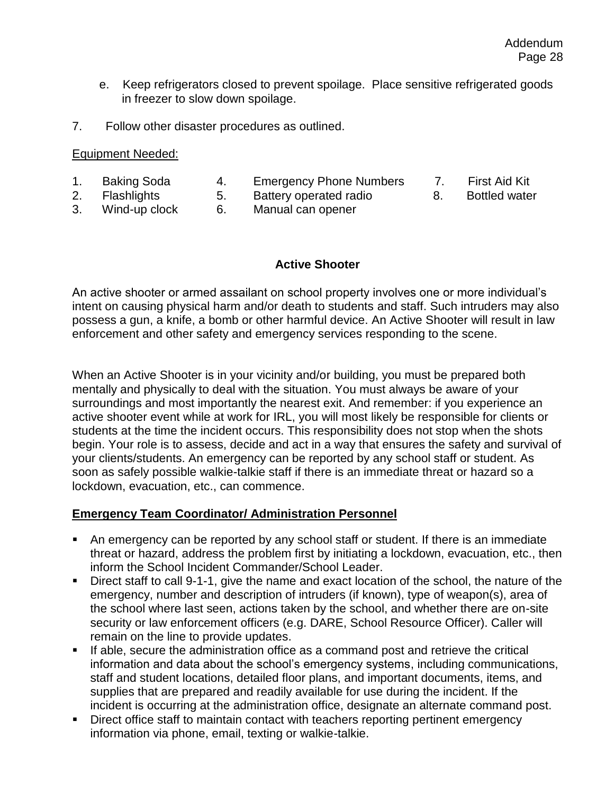- e. Keep refrigerators closed to prevent spoilage. Place sensitive refrigerated goods in freezer to slow down spoilage.
- 7. Follow other disaster procedures as outlined.

#### Equipment Needed:

- 1. Baking Soda 4. Emergency Phone Numbers 7. First Aid Kit
- 2. Flashlights 5. Battery operated radio 8. Bottled water
- -

3. Wind-up clock 6. Manual can opener

#### **Active Shooter**

An active shooter or armed assailant on school property involves one or more individual's intent on causing physical harm and/or death to students and staff. Such intruders may also possess a gun, a knife, a bomb or other harmful device. An Active Shooter will result in law enforcement and other safety and emergency services responding to the scene.

When an Active Shooter is in your vicinity and/or building, you must be prepared both mentally and physically to deal with the situation. You must always be aware of your surroundings and most importantly the nearest exit. And remember: if you experience an active shooter event while at work for IRL, you will most likely be responsible for clients or students at the time the incident occurs. This responsibility does not stop when the shots begin. Your role is to assess, decide and act in a way that ensures the safety and survival of your clients/students. An emergency can be reported by any school staff or student. As soon as safely possible walkie-talkie staff if there is an immediate threat or hazard so a lockdown, evacuation, etc., can commence.

#### **Emergency Team Coordinator/ Administration Personnel**

- An emergency can be reported by any school staff or student. If there is an immediate threat or hazard, address the problem first by initiating a lockdown, evacuation, etc., then inform the School Incident Commander/School Leader.
- Direct staff to call 9-1-1, give the name and exact location of the school, the nature of the emergency, number and description of intruders (if known), type of weapon(s), area of the school where last seen, actions taken by the school, and whether there are on-site security or law enforcement officers (e.g. DARE, School Resource Officer). Caller will remain on the line to provide updates.
- **.** If able, secure the administration office as a command post and retrieve the critical information and data about the school's emergency systems, including communications, staff and student locations, detailed floor plans, and important documents, items, and supplies that are prepared and readily available for use during the incident. If the incident is occurring at the administration office, designate an alternate command post.
- Direct office staff to maintain contact with teachers reporting pertinent emergency information via phone, email, texting or walkie-talkie.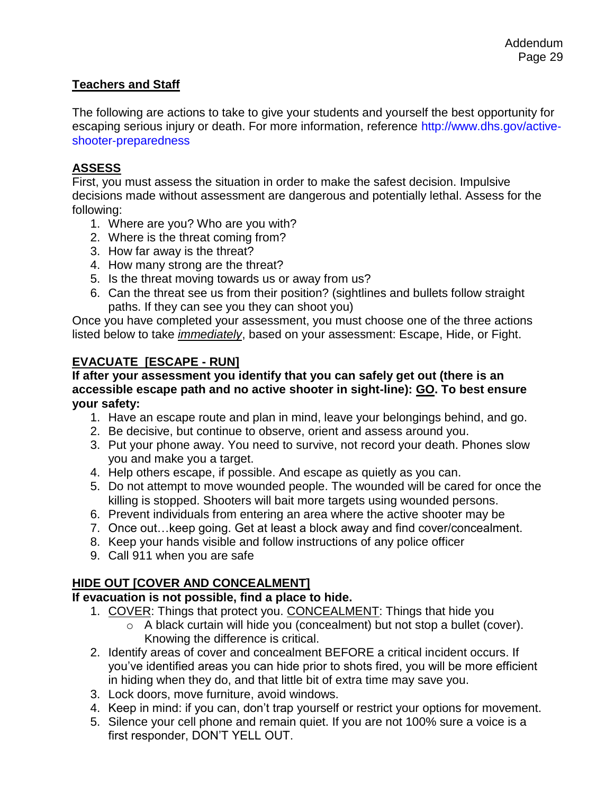#### **Teachers and Staff**

The following are actions to take to give your students and yourself the best opportunity for escaping serious injury or death. For more information, reference http://www.dhs.gov/active‐ shooter‐preparedness

#### **ASSESS**

First, you must assess the situation in order to make the safest decision. Impulsive decisions made without assessment are dangerous and potentially lethal. Assess for the following:

- 1. Where are you? Who are you with?
- 2. Where is the threat coming from?
- 3. How far away is the threat?
- 4. How many strong are the threat?
- 5. Is the threat moving towards us or away from us?
- 6. Can the threat see us from their position? (sightlines and bullets follow straight paths. If they can see you they can shoot you)

Once you have completed your assessment, you must choose one of the three actions listed below to take *immediately*, based on your assessment: Escape, Hide, or Fight.

#### **EVACUATE [ESCAPE - RUN]**

#### **If after your assessment you identify that you can safely get out (there is an accessible escape path and no active shooter in sight-line): GO. To best ensure your safety:**

- 1. Have an escape route and plan in mind, leave your belongings behind, and go.
- 2. Be decisive, but continue to observe, orient and assess around you.
- 3. Put your phone away. You need to survive, not record your death. Phones slow you and make you a target.
- 4. Help others escape, if possible. And escape as quietly as you can.
- 5. Do not attempt to move wounded people. The wounded will be cared for once the killing is stopped. Shooters will bait more targets using wounded persons.
- 6. Prevent individuals from entering an area where the active shooter may be
- 7. Once out…keep going. Get at least a block away and find cover/concealment.
- 8. Keep your hands visible and follow instructions of any police officer
- 9. Call 911 when you are safe

### **HIDE OUT [COVER AND CONCEALMENT]**

#### **If evacuation is not possible, find a place to hide.**

- 1. COVER: Things that protect you. CONCEALMENT: Things that hide you
	- o A black curtain will hide you (concealment) but not stop a bullet (cover). Knowing the difference is critical.
- 2. Identify areas of cover and concealment BEFORE a critical incident occurs. If you've identified areas you can hide prior to shots fired, you will be more efficient in hiding when they do, and that little bit of extra time may save you.
- 3. Lock doors, move furniture, avoid windows.
- 4. Keep in mind: if you can, don't trap yourself or restrict your options for movement.
- 5. Silence your cell phone and remain quiet. If you are not 100% sure a voice is a first responder, DON'T YELL OUT.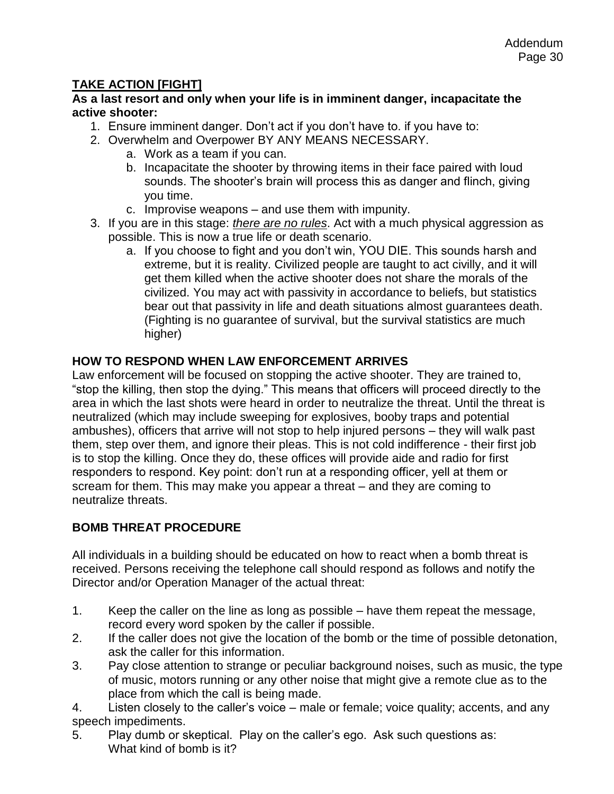#### **TAKE ACTION [FIGHT]**

**As a last resort and only when your life is in imminent danger, incapacitate the active shooter:**

- 1. Ensure imminent danger. Don't act if you don't have to. if you have to:
- 2. Overwhelm and Overpower BY ANY MEANS NECESSARY.
	- a. Work as a team if you can.
	- b. Incapacitate the shooter by throwing items in their face paired with loud sounds. The shooter's brain will process this as danger and flinch, giving you time.
	- c. Improvise weapons and use them with impunity.
- 3. If you are in this stage: *there are no rules*. Act with a much physical aggression as possible. This is now a true life or death scenario.
	- a. If you choose to fight and you don't win, YOU DIE. This sounds harsh and extreme, but it is reality. Civilized people are taught to act civilly, and it will get them killed when the active shooter does not share the morals of the civilized. You may act with passivity in accordance to beliefs, but statistics bear out that passivity in life and death situations almost guarantees death. (Fighting is no guarantee of survival, but the survival statistics are much higher)

#### **HOW TO RESPOND WHEN LAW ENFORCEMENT ARRIVES**

Law enforcement will be focused on stopping the active shooter. They are trained to, "stop the killing, then stop the dying." This means that officers will proceed directly to the area in which the last shots were heard in order to neutralize the threat. Until the threat is neutralized (which may include sweeping for explosives, booby traps and potential ambushes), officers that arrive will not stop to help injured persons – they will walk past them, step over them, and ignore their pleas. This is not cold indifference - their first job is to stop the killing. Once they do, these offices will provide aide and radio for first responders to respond. Key point: don't run at a responding officer, yell at them or scream for them. This may make you appear a threat – and they are coming to neutralize threats.

#### **BOMB THREAT PROCEDURE**

All individuals in a building should be educated on how to react when a bomb threat is received. Persons receiving the telephone call should respond as follows and notify the Director and/or Operation Manager of the actual threat:

- 1. Keep the caller on the line as long as possible have them repeat the message, record every word spoken by the caller if possible.
- 2. If the caller does not give the location of the bomb or the time of possible detonation, ask the caller for this information.
- 3. Pay close attention to strange or peculiar background noises, such as music, the type of music, motors running or any other noise that might give a remote clue as to the place from which the call is being made.
- 4. Listen closely to the caller's voice male or female; voice quality; accents, and any speech impediments.
- 5. Play dumb or skeptical. Play on the caller's ego. Ask such questions as: What kind of bomb is it?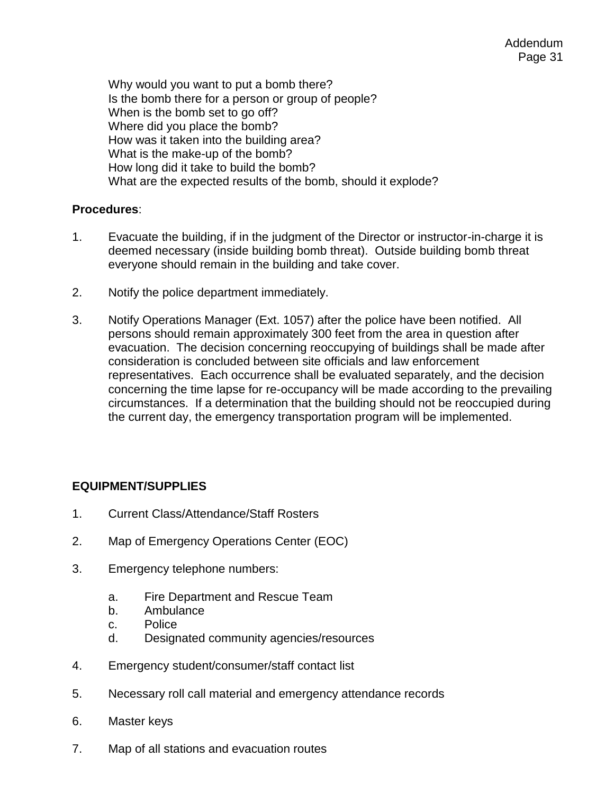Why would you want to put a bomb there? Is the bomb there for a person or group of people? When is the bomb set to go off? Where did you place the bomb? How was it taken into the building area? What is the make-up of the bomb? How long did it take to build the bomb? What are the expected results of the bomb, should it explode?

#### **Procedures**:

- 1. Evacuate the building, if in the judgment of the Director or instructor-in-charge it is deemed necessary (inside building bomb threat). Outside building bomb threat everyone should remain in the building and take cover.
- 2. Notify the police department immediately.
- 3. Notify Operations Manager (Ext. 1057) after the police have been notified. All persons should remain approximately 300 feet from the area in question after evacuation. The decision concerning reoccupying of buildings shall be made after consideration is concluded between site officials and law enforcement representatives. Each occurrence shall be evaluated separately, and the decision concerning the time lapse for re-occupancy will be made according to the prevailing circumstances. If a determination that the building should not be reoccupied during the current day, the emergency transportation program will be implemented.

#### **EQUIPMENT/SUPPLIES**

- 1. Current Class/Attendance/Staff Rosters
- 2. Map of Emergency Operations Center (EOC)
- 3. Emergency telephone numbers:
	- a. Fire Department and Rescue Team
	- b. Ambulance
	- c. Police
	- d. Designated community agencies/resources
- 4. Emergency student/consumer/staff contact list
- 5. Necessary roll call material and emergency attendance records
- 6. Master keys
- 7. Map of all stations and evacuation routes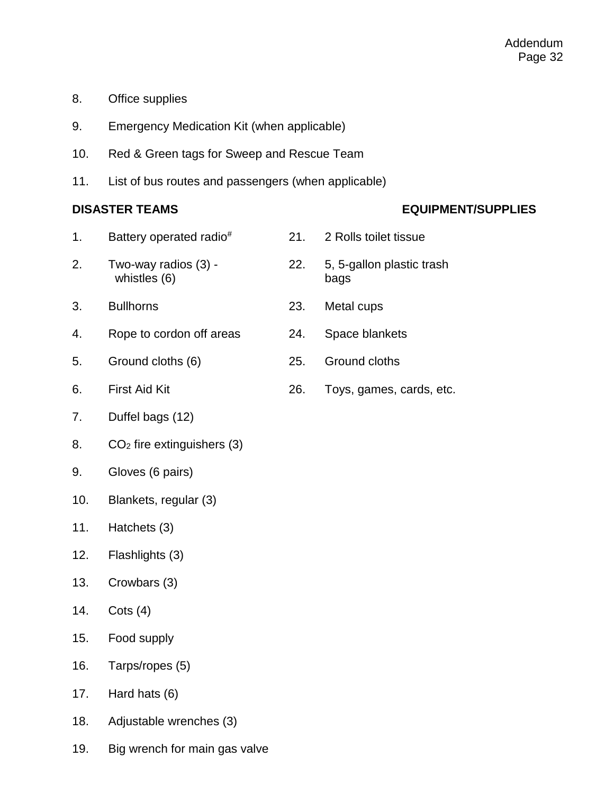- 8. Office supplies
- 9. Emergency Medication Kit (when applicable)
- 10. Red & Green tags for Sweep and Rescue Team
- 11. List of bus routes and passengers (when applicable)

#### **DISASTER TEAMS EQUIPMENT/SUPPLIES**

- 1. Battery operated radio# 21. 2 Rolls toilet tissue 2. Two-way radios (3) - 22. 5, 5-gallon plastic trash whistles (6) bags 3. Bullhorns 23. Metal cups 4. Rope to cordon off areas 24. Space blankets 5. Ground cloths (6) 25. Ground cloths 6. First Aid Kit 26. Toys, games, cards, etc.
- 7. Duffel bags (12)
- 8. CO<sup>2</sup> fire extinguishers (3)
- 9. Gloves (6 pairs)
- 10. Blankets, regular (3)
- 11. Hatchets (3)
- 12. Flashlights (3)
- 13. Crowbars (3)
- 14. Cots (4)
- 15. Food supply
- 16. Tarps/ropes (5)
- 17. Hard hats (6)
- 18. Adjustable wrenches (3)
- 19. Big wrench for main gas valve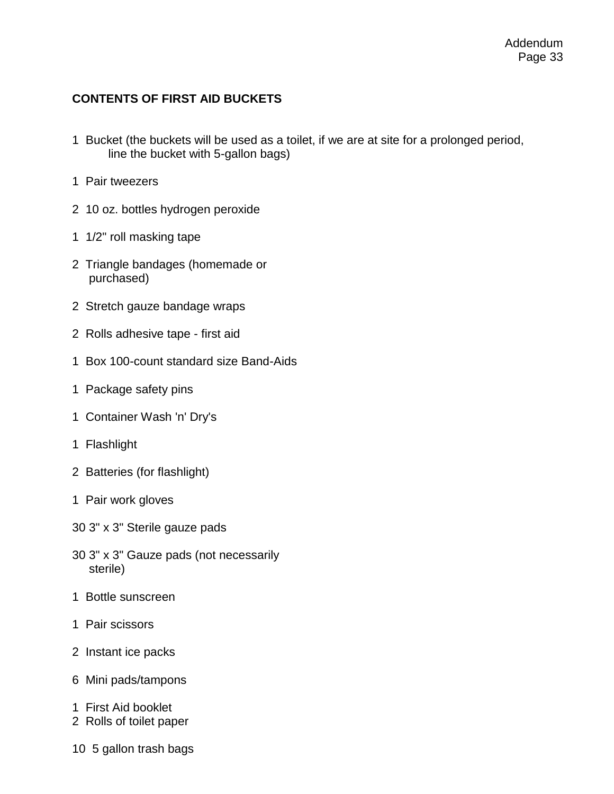#### **CONTENTS OF FIRST AID BUCKETS**

- 1 Bucket (the buckets will be used as a toilet, if we are at site for a prolonged period, line the bucket with 5-gallon bags)
- 1 Pair tweezers
- 2 10 oz. bottles hydrogen peroxide
- 1 1/2" roll masking tape
- 2 Triangle bandages (homemade or purchased)
- 2 Stretch gauze bandage wraps
- 2 Rolls adhesive tape first aid
- 1 Box 100-count standard size Band-Aids
- 1 Package safety pins
- 1 Container Wash 'n' Dry's
- 1 Flashlight
- 2 Batteries (for flashlight)
- 1 Pair work gloves
- 30 3" x 3" Sterile gauze pads
- 30 3" x 3" Gauze pads (not necessarily sterile)
- 1 Bottle sunscreen
- 1 Pair scissors
- 2 Instant ice packs
- 6 Mini pads/tampons
- 1 First Aid booklet
- 2 Rolls of toilet paper
- 10 5 gallon trash bags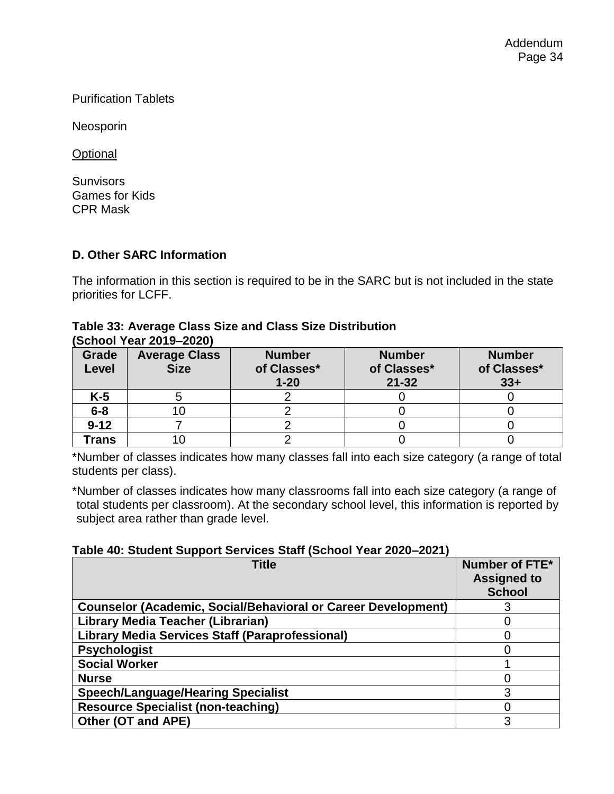Purification Tablets

Neosporin

**Optional** 

**Sunvisors** Games for Kids CPR Mask

#### **D. Other SARC Information**

The information in this section is required to be in the SARC but is not included in the state priorities for LCFF.

#### **Table 33: Average Class Size and Class Size Distribution (School Year 2019–2020)**

| OUNDUI TUUT EUTU EULU |                      |               |               |               |  |
|-----------------------|----------------------|---------------|---------------|---------------|--|
| Grade                 | <b>Average Class</b> | <b>Number</b> | <b>Number</b> | <b>Number</b> |  |
|                       |                      |               |               |               |  |
| Level                 | <b>Size</b>          | of Classes*   | of Classes*   | of Classes*   |  |
|                       |                      |               |               |               |  |
|                       |                      | $1 - 20$      | $21 - 32$     | $33+$         |  |
| K-5                   |                      |               |               |               |  |
|                       |                      |               |               |               |  |
| $6 - 8$               |                      |               |               |               |  |
|                       |                      |               |               |               |  |
| $9 - 12$              |                      |               |               |               |  |
|                       |                      |               |               |               |  |
| <b>Trans</b>          |                      |               |               |               |  |
|                       |                      |               |               |               |  |

\*Number of classes indicates how many classes fall into each size category (a range of total students per class).

\*Number of classes indicates how many classrooms fall into each size category (a range of total students per classroom). At the secondary school level, this information is reported by subject area rather than grade level.

#### **Table 40: Student Support Services Staff (School Year 2020–2021)**

| <b>Title</b>                                                         | Number of FTE*<br><b>Assigned to</b><br><b>School</b> |
|----------------------------------------------------------------------|-------------------------------------------------------|
| <b>Counselor (Academic, Social/Behavioral or Career Development)</b> |                                                       |
| Library Media Teacher (Librarian)                                    |                                                       |
| <b>Library Media Services Staff (Paraprofessional)</b>               |                                                       |
| <b>Psychologist</b>                                                  |                                                       |
| <b>Social Worker</b>                                                 |                                                       |
| <b>Nurse</b>                                                         |                                                       |
| <b>Speech/Language/Hearing Specialist</b>                            | 3                                                     |
| <b>Resource Specialist (non-teaching)</b>                            |                                                       |
| Other (OT and APE)                                                   | 3                                                     |